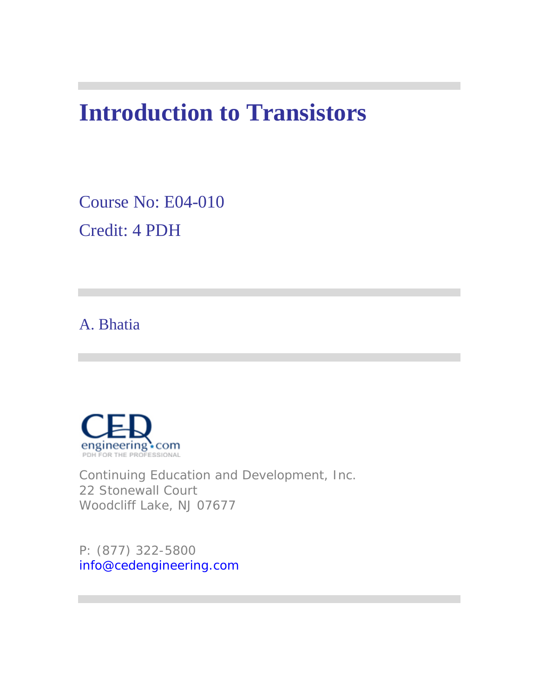# **Introduction to Transistors**

Course No: E04-010 Credit: 4 PDH

# A. Bhatia



Continuing Education and Development, Inc. 22 Stonewall Court Woodcliff Lake, NJ 07677

P: (877) 322-5800 info@cedengineering.com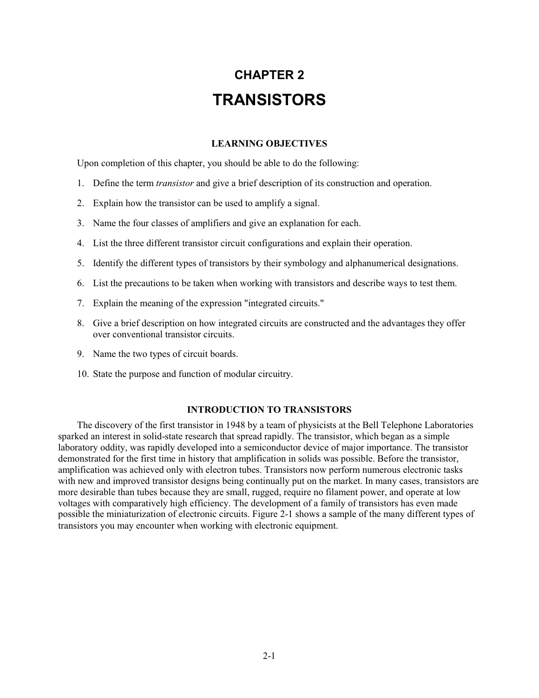# **CHAPTER 2 TRANSISTORS**

# **LEARNING OBJECTIVES**

Upon completion of this chapter, you should be able to do the following:

- 1. Define the term *transistor* and give a brief description of its construction and operation.
- 2. Explain how the transistor can be used to amplify a signal.
- 3. Name the four classes of amplifiers and give an explanation for each.
- 4. List the three different transistor circuit configurations and explain their operation.
- 5. Identify the different types of transistors by their symbology and alphanumerical designations.
- 6. List the precautions to be taken when working with transistors and describe ways to test them.
- 7. Explain the meaning of the expression "integrated circuits."
- 8. Give a brief description on how integrated circuits are constructed and the advantages they offer over conventional transistor circuits.
- 9. Name the two types of circuit boards.
- 10. State the purpose and function of modular circuitry.

# **INTRODUCTION TO TRANSISTORS**

The discovery of the first transistor in 1948 by a team of physicists at the Bell Telephone Laboratories sparked an interest in solid-state research that spread rapidly. The transistor, which began as a simple laboratory oddity, was rapidly developed into a semiconductor device of major importance. The transistor demonstrated for the first time in history that amplification in solids was possible. Before the transistor, amplification was achieved only with electron tubes. Transistors now perform numerous electronic tasks with new and improved transistor designs being continually put on the market. In many cases, transistors are more desirable than tubes because they are small, rugged, require no filament power, and operate at low voltages with comparatively high efficiency. The development of a family of transistors has even made possible the miniaturization of electronic circuits. Figure 2-1 shows a sample of the many different types of transistors you may encounter when working with electronic equipment.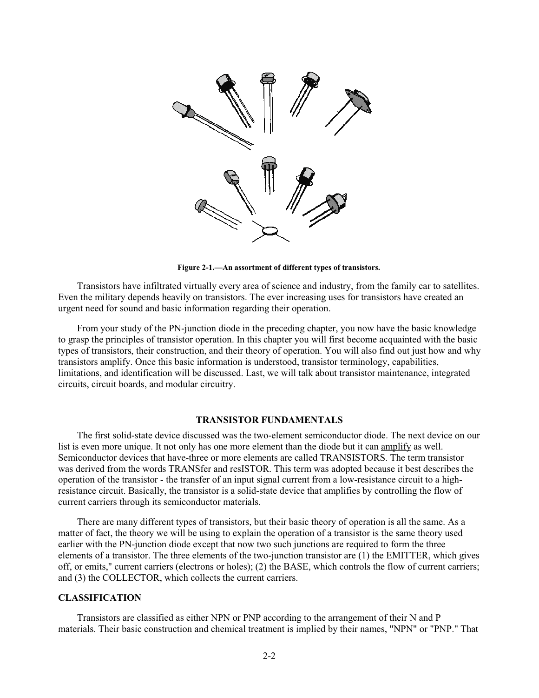

**Figure 2-1.—An assortment of different types of transistors.** 

Transistors have infiltrated virtually every area of science and industry, from the family car to satellites. Even the military depends heavily on transistors. The ever increasing uses for transistors have created an urgent need for sound and basic information regarding their operation.

From your study of the PN-junction diode in the preceding chapter, you now have the basic knowledge to grasp the principles of transistor operation. In this chapter you will first become acquainted with the basic types of transistors, their construction, and their theory of operation. You will also find out just how and why transistors amplify. Once this basic information is understood, transistor terminology, capabilities, limitations, and identification will be discussed. Last, we will talk about transistor maintenance, integrated circuits, circuit boards, and modular circuitry.

#### **TRANSISTOR FUNDAMENTALS**

The first solid-state device discussed was the two-element semiconductor diode. The next device on our list is even more unique. It not only has one more element than the diode but it can amplify as well. Semiconductor devices that have-three or more elements are called TRANSISTORS. The term transistor was derived from the words TRANSfer and resISTOR. This term was adopted because it best describes the operation of the transistor - the transfer of an input signal current from a low-resistance circuit to a highresistance circuit. Basically, the transistor is a solid-state device that amplifies by controlling the flow of current carriers through its semiconductor materials.

There are many different types of transistors, but their basic theory of operation is all the same. As a matter of fact, the theory we will be using to explain the operation of a transistor is the same theory used earlier with the PN-junction diode except that now two such junctions are required to form the three elements of a transistor. The three elements of the two-junction transistor are (1) the EMITTER, which gives off, or emits," current carriers (electrons or holes); (2) the BASE, which controls the flow of current carriers; and (3) the COLLECTOR, which collects the current carriers.

# **CLASSIFICATION**

Transistors are classified as either NPN or PNP according to the arrangement of their N and P materials. Their basic construction and chemical treatment is implied by their names, "NPN" or "PNP." That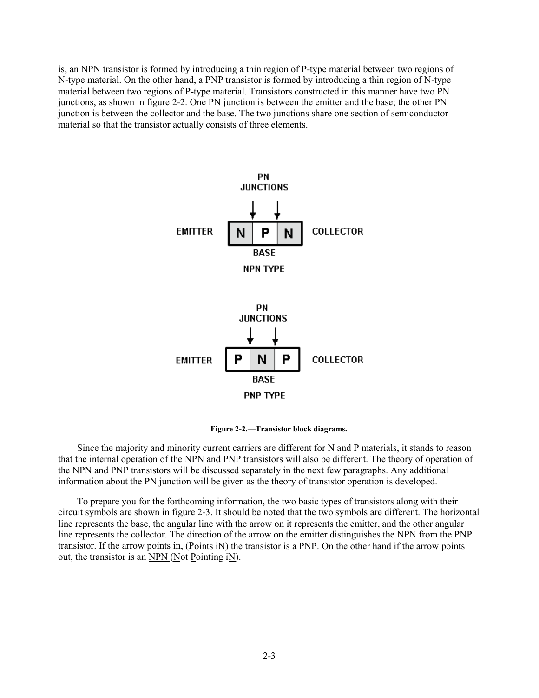is, an NPN transistor is formed by introducing a thin region of P-type material between two regions of N-type material. On the other hand, a PNP transistor is formed by introducing a thin region of N-type material between two regions of P-type material. Transistors constructed in this manner have two PN junctions, as shown in figure 2-2. One PN junction is between the emitter and the base; the other PN junction is between the collector and the base. The two junctions share one section of semiconductor material so that the transistor actually consists of three elements.





Since the majority and minority current carriers are different for N and P materials, it stands to reason that the internal operation of the NPN and PNP transistors will also be different. The theory of operation of the NPN and PNP transistors will be discussed separately in the next few paragraphs. Any additional information about the PN junction will be given as the theory of transistor operation is developed.

To prepare you for the forthcoming information, the two basic types of transistors along with their circuit symbols are shown in figure 2-3. It should be noted that the two symbols are different. The horizontal line represents the base, the angular line with the arrow on it represents the emitter, and the other angular line represents the collector. The direction of the arrow on the emitter distinguishes the NPN from the PNP transistor. If the arrow points in,  $(\underline{Points} i \underline{N})$  the transistor is a  $\underline{PNP}$ . On the other hand if the arrow points out, the transistor is an  $NPN$  (Not Pointing iN).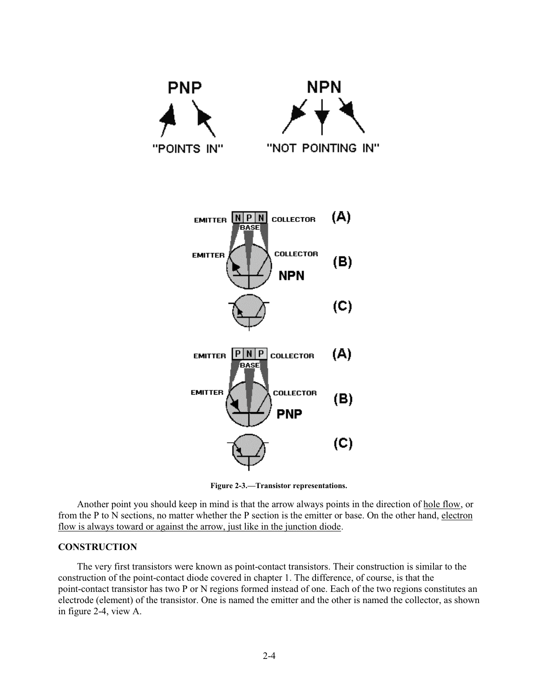

**Figure 2-3.—Transistor representations.** 

Another point you should keep in mind is that the arrow always points in the direction of hole flow, or from the P to N sections, no matter whether the P section is the emitter or base. On the other hand, electron flow is always toward or against the arrow, just like in the junction diode.

# **CONSTRUCTION**

The very first transistors were known as point-contact transistors. Their construction is similar to the construction of the point-contact diode covered in chapter 1. The difference, of course, is that the point-contact transistor has two P or N regions formed instead of one. Each of the two regions constitutes an electrode (element) of the transistor. One is named the emitter and the other is named the collector, as shown in figure 2-4, view A.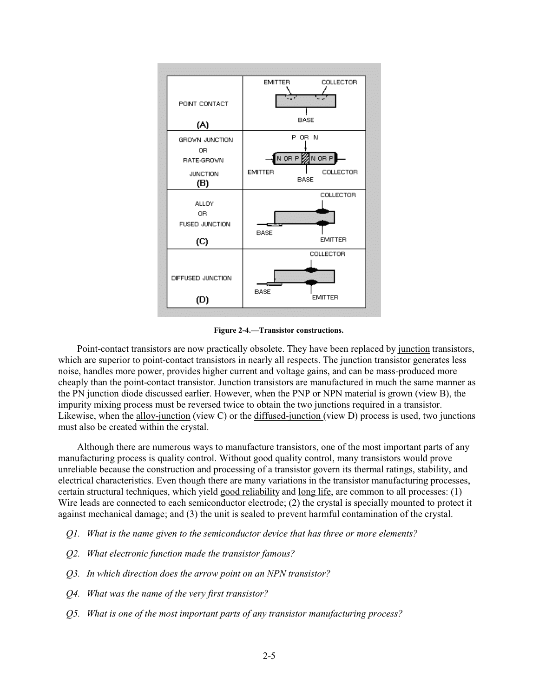

**Figure 2-4.—Transistor constructions.** 

Point-contact transistors are now practically obsolete. They have been replaced by junction transistors, which are superior to point-contact transistors in nearly all respects. The junction transistor generates less noise, handles more power, provides higher current and voltage gains, and can be mass-produced more cheaply than the point-contact transistor. Junction transistors are manufactured in much the same manner as the PN junction diode discussed earlier. However, when the PNP or NPN material is grown (view B), the impurity mixing process must be reversed twice to obtain the two junctions required in a transistor. Likewise, when the alloy-junction (view C) or the diffused-junction (view D) process is used, two junctions must also be created within the crystal.

Although there are numerous ways to manufacture transistors, one of the most important parts of any manufacturing process is quality control. Without good quality control, many transistors would prove unreliable because the construction and processing of a transistor govern its thermal ratings, stability, and electrical characteristics. Even though there are many variations in the transistor manufacturing processes, certain structural techniques, which yield good reliability and long life, are common to all processes: (1) Wire leads are connected to each semiconductor electrode; (2) the crystal is specially mounted to protect it against mechanical damage; and (3) the unit is sealed to prevent harmful contamination of the crystal.

- *Q1. What is the name given to the semiconductor device that has three or more elements?*
- *Q2. What electronic function made the transistor famous?*
- *Q3. In which direction does the arrow point on an NPN transistor?*
- *Q4. What was the name of the very first transistor?*
- *Q5. What is one of the most important parts of any transistor manufacturing process?*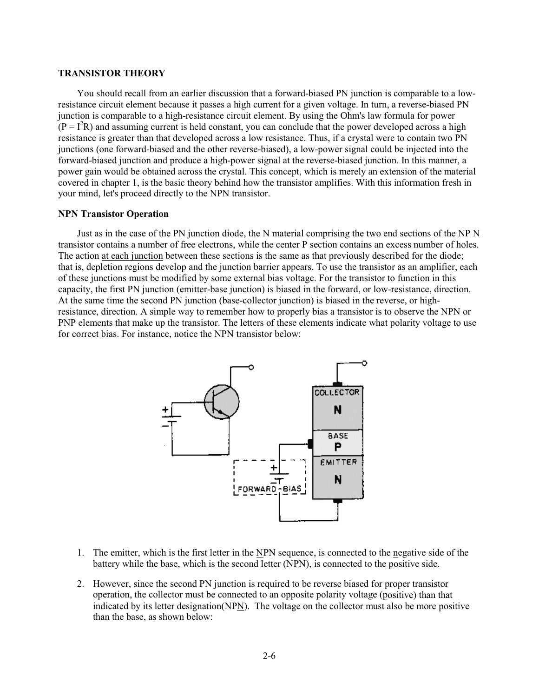# **TRANSISTOR THEORY**

You should recall from an earlier discussion that a forward-biased PN junction is comparable to a lowresistance circuit element because it passes a high current for a given voltage. In turn, a reverse-biased PN junction is comparable to a high-resistance circuit element. By using the Ohm's law formula for power  $(P = I<sup>2</sup>R)$  and assuming current is held constant, you can conclude that the power developed across a high resistance is greater than that developed across a low resistance. Thus, if a crystal were to contain two PN junctions (one forward-biased and the other reverse-biased), a low-power signal could be injected into the forward-biased junction and produce a high-power signal at the reverse-biased junction. In this manner, a power gain would be obtained across the crystal. This concept, which is merely an extension of the material covered in chapter 1, is the basic theory behind how the transistor amplifies. With this information fresh in your mind, let's proceed directly to the NPN transistor.

#### **NPN Transistor Operation**

Just as in the case of the PN junction diode, the N material comprising the two end sections of the NP N transistor contains a number of free electrons, while the center P section contains an excess number of holes. The action at each junction between these sections is the same as that previously described for the diode; that is, depletion regions develop and the junction barrier appears. To use the transistor as an amplifier, each of these junctions must be modified by some external bias voltage. For the transistor to function in this capacity, the first PN junction (emitter-base junction) is biased in the forward, or low-resistance, direction. At the same time the second PN junction (base-collector junction) is biased in the reverse, or highresistance, direction. A simple way to remember how to properly bias a transistor is to observe the NPN or PNP elements that make up the transistor. The letters of these elements indicate what polarity voltage to use for correct bias. For instance, notice the NPN transistor below:



- 1. The emitter, which is the first letter in the  $NPN$  sequence, is connected to the negative side of the battery while the base, which is the second letter (NPN), is connected to the positive side.
- 2. However, since the second PN junction is required to be reverse biased for proper transistor operation, the collector must be connected to an opposite polarity voltage (positive) than that indicated by its letter designation( $NPM$ ). The voltage on the collector must also be more positive than the base, as shown below: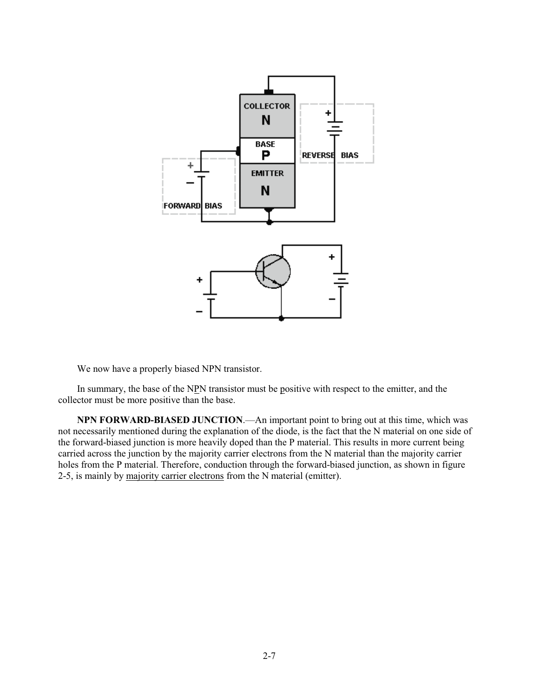

We now have a properly biased NPN transistor.

In summary, the base of the NPN transistor must be positive with respect to the emitter, and the collector must be more positive than the base.

**NPN FORWARD-BIASED JUNCTION.—An important point to bring out at this time, which was** not necessarily mentioned during the explanation of the diode, is the fact that the N material on one side of the forward-biased junction is more heavily doped than the P material. This results in more current being carried across the junction by the majority carrier electrons from the N material than the majority carrier holes from the P material. Therefore, conduction through the forward-biased junction, as shown in figure 2-5, is mainly by majority carrier electrons from the N material (emitter).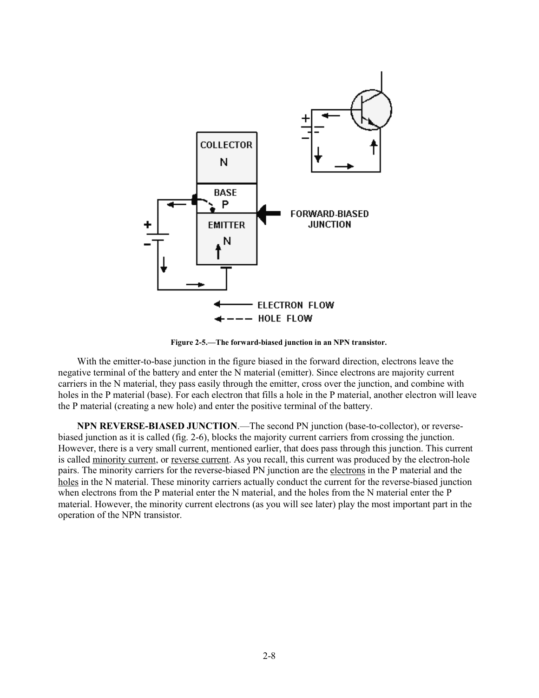

**Figure 2-5.—The forward-biased junction in an NPN transistor.** 

With the emitter-to-base junction in the figure biased in the forward direction, electrons leave the negative terminal of the battery and enter the N material (emitter). Since electrons are majority current carriers in the N material, they pass easily through the emitter, cross over the junction, and combine with holes in the P material (base). For each electron that fills a hole in the P material, another electron will leave the P material (creating a new hole) and enter the positive terminal of the battery.

**NPN REVERSE-BIASED JUNCTION.—The second PN junction (base-to-collector), or reverse**biased junction as it is called (fig. 2-6), blocks the majority current carriers from crossing the junction. However, there is a very small current, mentioned earlier, that does pass through this junction. This current is called minority current, or reverse current. As you recall, this current was produced by the electron-hole pairs. The minority carriers for the reverse-biased PN junction are the electrons in the P material and the holes in the N material. These minority carriers actually conduct the current for the reverse-biased junction when electrons from the P material enter the N material, and the holes from the N material enter the P material. However, the minority current electrons (as you will see later) play the most important part in the operation of the NPN transistor.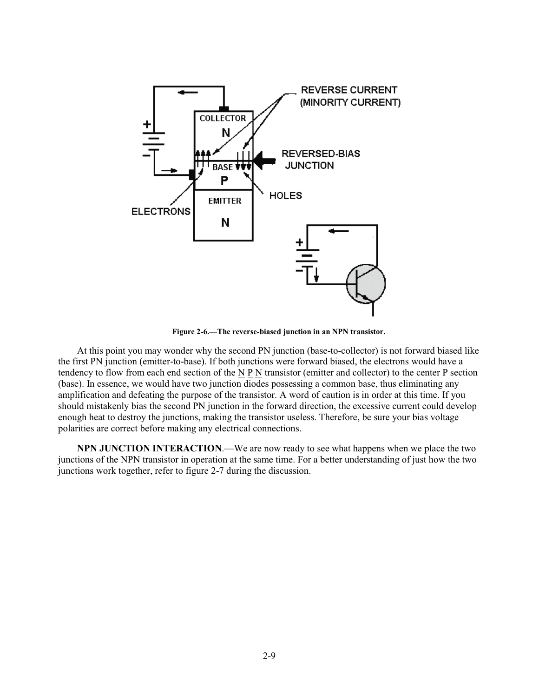

**Figure 2-6.—The reverse-biased junction in an NPN transistor.** 

At this point you may wonder why the second PN junction (base-to-collector) is not forward biased like the first PN junction (emitter-to-base). If both junctions were forward biased, the electrons would have a tendency to flow from each end section of the  $N P N$  transistor (emitter and collector) to the center P section (base). In essence, we would have two junction diodes possessing a common base, thus eliminating any amplification and defeating the purpose of the transistor. A word of caution is in order at this time. If you should mistakenly bias the second PN junction in the forward direction, the excessive current could develop enough heat to destroy the junctions, making the transistor useless. Therefore, be sure your bias voltage polarities are correct before making any electrical connections.

**NPN JUNCTION INTERACTION.—We are now ready to see what happens when we place the two** junctions of the NPN transistor in operation at the same time. For a better understanding of just how the two junctions work together, refer to figure 2-7 during the discussion.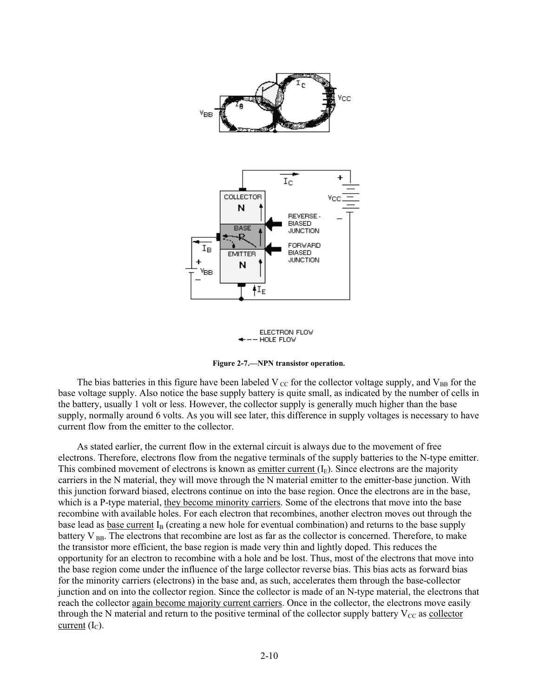

ELECTRON FLOW HOLE FLOW

**Figure 2-7.—NPN transistor operation.** 

The bias batteries in this figure have been labeled  $V_{\rm CC}$  for the collector voltage supply, and  $V_{\rm BB}$  for the base voltage supply. Also notice the base supply battery is quite small, as indicated by the number of cells in the battery, usually 1 volt or less. However, the collector supply is generally much higher than the base supply, normally around 6 volts. As you will see later, this difference in supply voltages is necessary to have current flow from the emitter to the collector.

As stated earlier, the current flow in the external circuit is always due to the movement of free electrons. Therefore, electrons flow from the negative terminals of the supply batteries to the N-type emitter. This combined movement of electrons is known as <u>emitter current</u>  $(I<sub>E</sub>)$ . Since electrons are the majority carriers in the N material, they will move through the N material emitter to the emitter-base junction. With this junction forward biased, electrons continue on into the base region. Once the electrons are in the base, which is a P-type material, they become minority carriers. Some of the electrons that move into the base recombine with available holes. For each electron that recombines, another electron moves out through the base lead as <u>base current</u>  $I_B$  (creating a new hole for eventual combination) and returns to the base supply battery  $V_{BB}$ . The electrons that recombine are lost as far as the collector is concerned. Therefore, to make the transistor more efficient, the base region is made very thin and lightly doped. This reduces the opportunity for an electron to recombine with a hole and be lost. Thus, most of the electrons that move into the base region come under the influence of the large collector reverse bias. This bias acts as forward bias for the minority carriers (electrons) in the base and, as such, accelerates them through the base-collector junction and on into the collector region. Since the collector is made of an N-type material, the electrons that reach the collector again become majority current carriers. Once in the collector, the electrons move easily through the N material and return to the positive terminal of the collector supply battery  $V_{CC}$  as collector current  $(I_C)$ .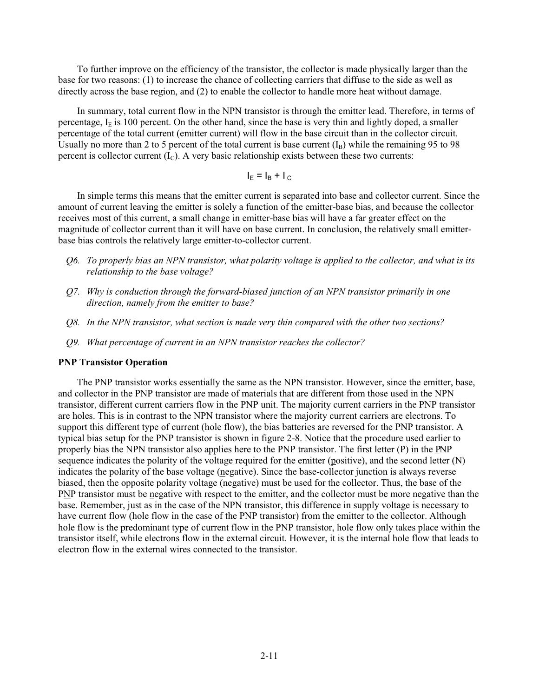To further improve on the efficiency of the transistor, the collector is made physically larger than the base for two reasons: (1) to increase the chance of collecting carriers that diffuse to the side as well as directly across the base region, and (2) to enable the collector to handle more heat without damage.

In summary, total current flow in the NPN transistor is through the emitter lead. Therefore, in terms of percentage,  $I<sub>F</sub>$  is 100 percent. On the other hand, since the base is very thin and lightly doped, a smaller percentage of the total current (emitter current) will flow in the base circuit than in the collector circuit. Usually no more than 2 to 5 percent of the total current is base current  $(I_B)$  while the remaining 95 to 98 percent is collector current  $(I_C)$ . A very basic relationship exists between these two currents:

$$
I_{E} = I_{B} + I_{C}
$$

In simple terms this means that the emitter current is separated into base and collector current. Since the amount of current leaving the emitter is solely a function of the emitter-base bias, and because the collector receives most of this current, a small change in emitter-base bias will have a far greater effect on the magnitude of collector current than it will have on base current. In conclusion, the relatively small emitterbase bias controls the relatively large emitter-to-collector current.

- *Q6. To properly bias an NPN transistor, what polarity voltage is applied to the collector, and what is its relationship to the base voltage?*
- *Q7. Why is conduction through the forward-biased junction of an NPN transistor primarily in one direction, namely from the emitter to base?*
- *Q8. In the NPN transistor, what section is made very thin compared with the other two sections?*
- *Q9. What percentage of current in an NPN transistor reaches the collector?*

#### **PNP Transistor Operation**

The PNP transistor works essentially the same as the NPN transistor. However, since the emitter, base, and collector in the PNP transistor are made of materials that are different from those used in the NPN transistor, different current carriers flow in the PNP unit. The majority current carriers in the PNP transistor are holes. This is in contrast to the NPN transistor where the majority current carriers are electrons. To support this different type of current (hole flow), the bias batteries are reversed for the PNP transistor. A typical bias setup for the PNP transistor is shown in figure 2-8. Notice that the procedure used earlier to properly bias the NPN transistor also applies here to the PNP transistor. The first letter (P) in the PNP sequence indicates the polarity of the voltage required for the emitter (positive), and the second letter (N) indicates the polarity of the base voltage (negative). Since the base-collector junction is always reverse biased, then the opposite polarity voltage (negative) must be used for the collector. Thus, the base of the PNP transistor must be negative with respect to the emitter, and the collector must be more negative than the base. Remember, just as in the case of the NPN transistor, this difference in supply voltage is necessary to have current flow (hole flow in the case of the PNP transistor) from the emitter to the collector. Although hole flow is the predominant type of current flow in the PNP transistor, hole flow only takes place within the transistor itself, while electrons flow in the external circuit. However, it is the internal hole flow that leads to electron flow in the external wires connected to the transistor.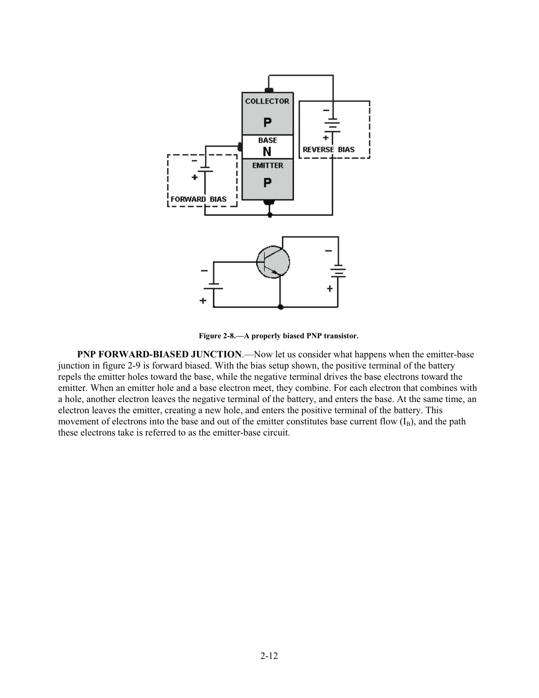

**Figure 2-8.—A properly biased PNP transistor.** 

**PNP FORWARD-BIASED JUNCTION.—Now let us consider what happens when the emitter-base** junction in figure 2-9 is forward biased. With the bias setup shown, the positive terminal of the battery repels the emitter holes toward the base, while the negative terminal drives the base electrons toward the emitter. When an emitter hole and a base electron meet, they combine. For each electron that combines with a hole, another electron leaves the negative terminal of the battery, and enters the base. At the same time, an electron leaves the emitter, creating a new hole, and enters the positive terminal of the battery. This movement of electrons into the base and out of the emitter constitutes base current flow  $(I_B)$ , and the path these electrons take is referred to as the emitter-base circuit.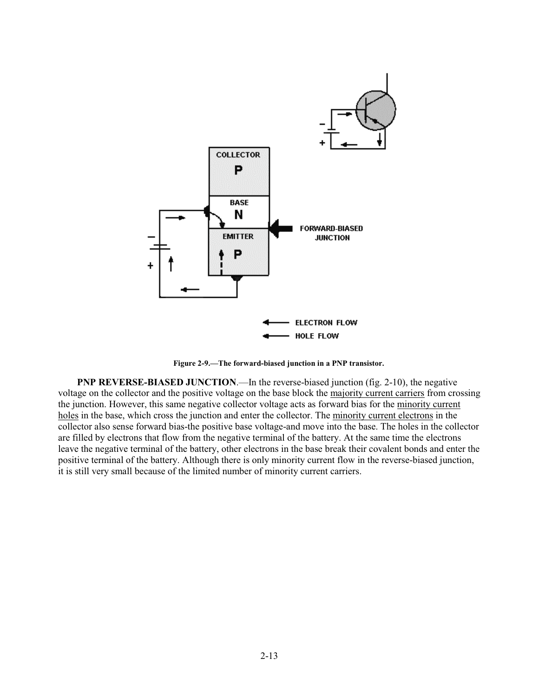

**Figure 2-9.—The forward-biased junction in a PNP transistor.** 

**PNP REVERSE-BIASED JUNCTION.** In the reverse-biased junction (fig. 2-10), the negative voltage on the collector and the positive voltage on the base block the majority current carriers from crossing the junction. However, this same negative collector voltage acts as forward bias for the minority current holes in the base, which cross the junction and enter the collector. The minority current electrons in the collector also sense forward bias-the positive base voltage-and move into the base. The holes in the collector are filled by electrons that flow from the negative terminal of the battery. At the same time the electrons leave the negative terminal of the battery, other electrons in the base break their covalent bonds and enter the positive terminal of the battery. Although there is only minority current flow in the reverse-biased junction, it is still very small because of the limited number of minority current carriers.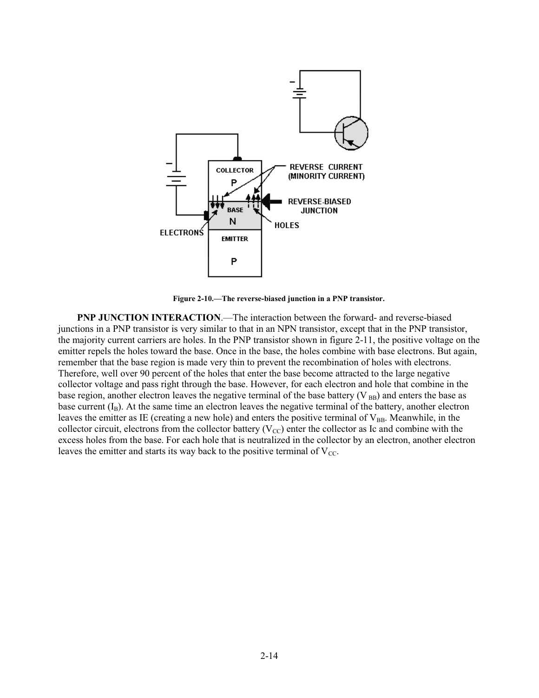

**Figure 2-10.—The reverse-biased junction in a PNP transistor.** 

**PNP JUNCTION INTERACTION.**—The interaction between the forward- and reverse-biased junctions in a PNP transistor is very similar to that in an NPN transistor, except that in the PNP transistor, the majority current carriers are holes. In the PNP transistor shown in figure 2-11, the positive voltage on the emitter repels the holes toward the base. Once in the base, the holes combine with base electrons. But again, remember that the base region is made very thin to prevent the recombination of holes with electrons. Therefore, well over 90 percent of the holes that enter the base become attracted to the large negative collector voltage and pass right through the base. However, for each electron and hole that combine in the base region, another electron leaves the negative terminal of the base battery ( $V_{BB}$ ) and enters the base as base current  $(I_B)$ . At the same time an electron leaves the negative terminal of the battery, another electron leaves the emitter as IE (creating a new hole) and enters the positive terminal of  $V_{BB}$ . Meanwhile, in the collector circuit, electrons from the collector battery  $(V_{\text{cc}})$  enter the collector as Ic and combine with the excess holes from the base. For each hole that is neutralized in the collector by an electron, another electron leaves the emitter and starts its way back to the positive terminal of  $V_{\text{CC}}$ .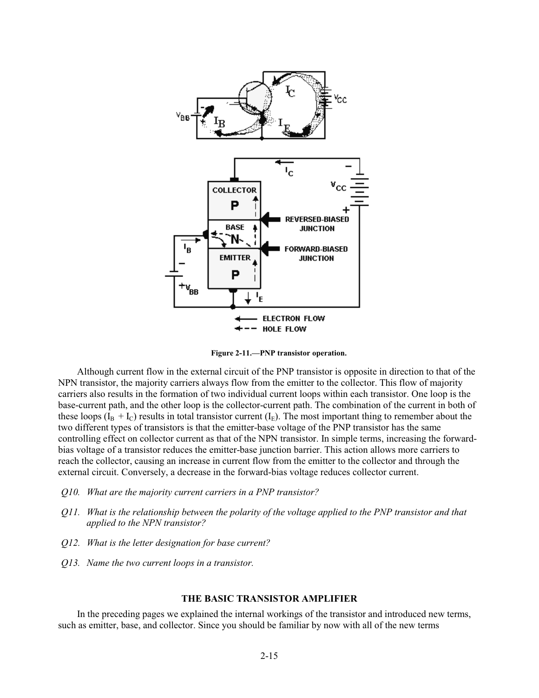

**Figure 2-11.—PNP transistor operation.** 

Although current flow in the external circuit of the PNP transistor is opposite in direction to that of the NPN transistor, the majority carriers always flow from the emitter to the collector. This flow of majority carriers also results in the formation of two individual current loops within each transistor. One loop is the base-current path, and the other loop is the collector-current path. The combination of the current in both of these loops  $(I_B + I_C)$  results in total transistor current  $(I_E)$ . The most important thing to remember about the two different types of transistors is that the emitter-base voltage of the PNP transistor has the same controlling effect on collector current as that of the NPN transistor. In simple terms, increasing the forwardbias voltage of a transistor reduces the emitter-base junction barrier. This action allows more carriers to reach the collector, causing an increase in current flow from the emitter to the collector and through the external circuit. Conversely, a decrease in the forward-bias voltage reduces collector current.

- *Q10. What are the majority current carriers in a PNP transistor?*
- *Q11. What is the relationship between the polarity of the voltage applied to the PNP transistor and that applied to the NPN transistor?*
- *Q12. What is the letter designation for base current?*
- *Q13. Name the two current loops in a transistor.*

#### **THE BASIC TRANSISTOR AMPLIFIER**

In the preceding pages we explained the internal workings of the transistor and introduced new terms, such as emitter, base, and collector. Since you should be familiar by now with all of the new terms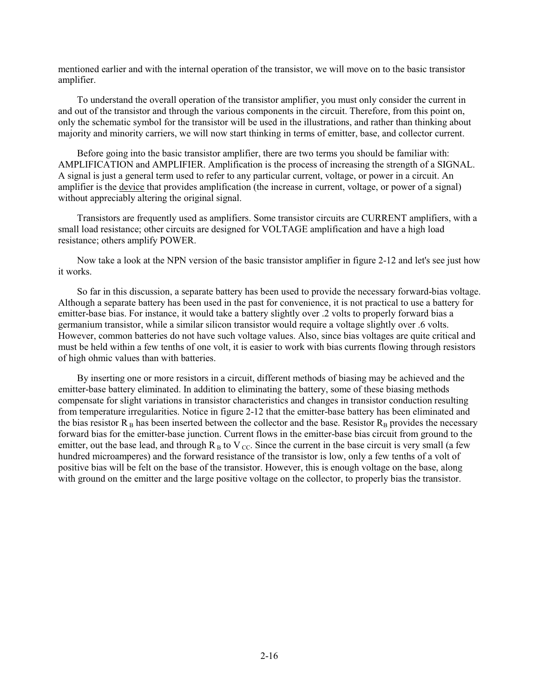mentioned earlier and with the internal operation of the transistor, we will move on to the basic transistor amplifier.

To understand the overall operation of the transistor amplifier, you must only consider the current in and out of the transistor and through the various components in the circuit. Therefore, from this point on, only the schematic symbol for the transistor will be used in the illustrations, and rather than thinking about majority and minority carriers, we will now start thinking in terms of emitter, base, and collector current.

Before going into the basic transistor amplifier, there are two terms you should be familiar with: AMPLIFICATION and AMPLIFIER. Amplification is the process of increasing the strength of a SIGNAL. A signal is just a general term used to refer to any particular current, voltage, or power in a circuit. An amplifier is the device that provides amplification (the increase in current, voltage, or power of a signal) without appreciably altering the original signal.

Transistors are frequently used as amplifiers. Some transistor circuits are CURRENT amplifiers, with a small load resistance; other circuits are designed for VOLTAGE amplification and have a high load resistance; others amplify POWER.

Now take a look at the NPN version of the basic transistor amplifier in figure 2-12 and let's see just how it works.

So far in this discussion, a separate battery has been used to provide the necessary forward-bias voltage. Although a separate battery has been used in the past for convenience, it is not practical to use a battery for emitter-base bias. For instance, it would take a battery slightly over .2 volts to properly forward bias a germanium transistor, while a similar silicon transistor would require a voltage slightly over .6 volts. However, common batteries do not have such voltage values. Also, since bias voltages are quite critical and must be held within a few tenths of one volt, it is easier to work with bias currents flowing through resistors of high ohmic values than with batteries.

By inserting one or more resistors in a circuit, different methods of biasing may be achieved and the emitter-base battery eliminated. In addition to eliminating the battery, some of these biasing methods compensate for slight variations in transistor characteristics and changes in transistor conduction resulting from temperature irregularities. Notice in figure 2-12 that the emitter-base battery has been eliminated and the bias resistor  $R_B$  has been inserted between the collector and the base. Resistor  $R_B$  provides the necessary forward bias for the emitter-base junction. Current flows in the emitter-base bias circuit from ground to the emitter, out the base lead, and through  $R_B$  to  $V_{\text{CC}}$ . Since the current in the base circuit is very small (a few hundred microamperes) and the forward resistance of the transistor is low, only a few tenths of a volt of positive bias will be felt on the base of the transistor. However, this is enough voltage on the base, along with ground on the emitter and the large positive voltage on the collector, to properly bias the transistor.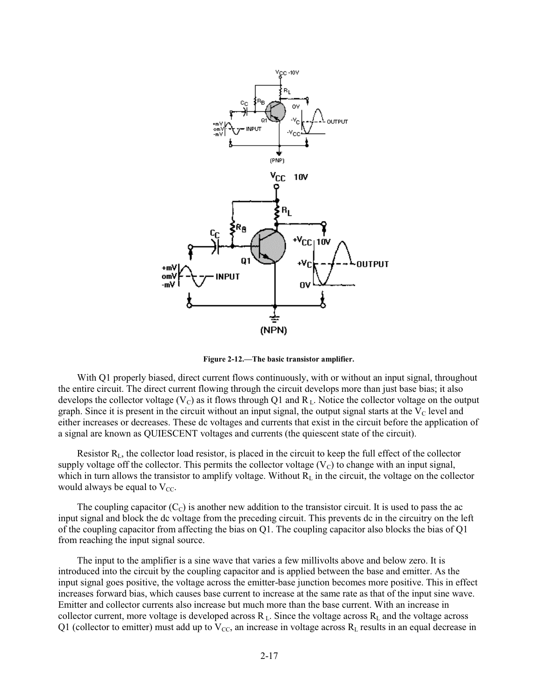

**Figure 2-12.—The basic transistor amplifier.** 

With Q1 properly biased, direct current flows continuously, with or without an input signal, throughout the entire circuit. The direct current flowing through the circuit develops more than just base bias; it also develops the collector voltage ( $V<sub>C</sub>$ ) as it flows through Q1 and R<sub>L</sub>. Notice the collector voltage on the output graph. Since it is present in the circuit without an input signal, the output signal starts at the  $V<sub>C</sub>$  level and either increases or decreases. These dc voltages and currents that exist in the circuit before the application of a signal are known as QUIESCENT voltages and currents (the quiescent state of the circuit).

Resistor  $R_L$ , the collector load resistor, is placed in the circuit to keep the full effect of the collector supply voltage off the collector. This permits the collector voltage  $(V_C)$  to change with an input signal, which in turn allows the transistor to amplify voltage. Without  $R<sub>L</sub>$  in the circuit, the voltage on the collector would always be equal to  $V_{CC}$ .

The coupling capacitor  $(C<sub>C</sub>)$  is another new addition to the transistor circuit. It is used to pass the ac input signal and block the dc voltage from the preceding circuit. This prevents dc in the circuitry on the left of the coupling capacitor from affecting the bias on Q1. The coupling capacitor also blocks the bias of Q1 from reaching the input signal source.

The input to the amplifier is a sine wave that varies a few millivolts above and below zero. It is introduced into the circuit by the coupling capacitor and is applied between the base and emitter. As the input signal goes positive, the voltage across the emitter-base junction becomes more positive. This in effect increases forward bias, which causes base current to increase at the same rate as that of the input sine wave. Emitter and collector currents also increase but much more than the base current. With an increase in collector current, more voltage is developed across  $R_L$ . Since the voltage across  $R_L$  and the voltage across Q1 (collector to emitter) must add up to  $V_{CC}$ , an increase in voltage across  $R_L$  results in an equal decrease in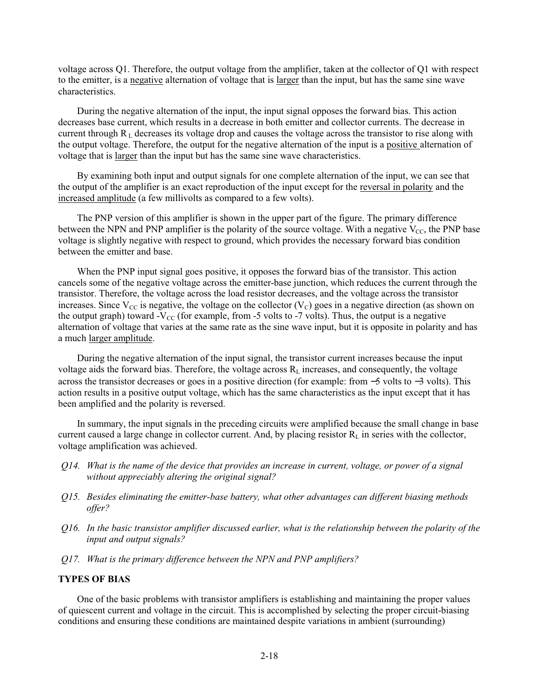voltage across Q1. Therefore, the output voltage from the amplifier, taken at the collector of Q1 with respect to the emitter, is a negative alternation of voltage that is larger than the input, but has the same sine wave characteristics.

During the negative alternation of the input, the input signal opposes the forward bias. This action decreases base current, which results in a decrease in both emitter and collector currents. The decrease in current through  $R_L$  decreases its voltage drop and causes the voltage across the transistor to rise along with the output voltage. Therefore, the output for the negative alternation of the input is a positive alternation of voltage that is larger than the input but has the same sine wave characteristics.

By examining both input and output signals for one complete alternation of the input, we can see that the output of the amplifier is an exact reproduction of the input except for the reversal in polarity and the increased amplitude (a few millivolts as compared to a few volts).

The PNP version of this amplifier is shown in the upper part of the figure. The primary difference between the NPN and PNP amplifier is the polarity of the source voltage. With a negative  $V_{CC}$ , the PNP base voltage is slightly negative with respect to ground, which provides the necessary forward bias condition between the emitter and base.

When the PNP input signal goes positive, it opposes the forward bias of the transistor. This action cancels some of the negative voltage across the emitter-base junction, which reduces the current through the transistor. Therefore, the voltage across the load resistor decreases, and the voltage across the transistor increases. Since  $V_{CC}$  is negative, the voltage on the collector  $(V_C)$  goes in a negative direction (as shown on the output graph) toward - $V_{CC}$  (for example, from -5 volts to -7 volts). Thus, the output is a negative alternation of voltage that varies at the same rate as the sine wave input, but it is opposite in polarity and has a much larger amplitude.

During the negative alternation of the input signal, the transistor current increases because the input voltage aids the forward bias. Therefore, the voltage across  $R<sub>L</sub>$  increases, and consequently, the voltage across the transistor decreases or goes in a positive direction (for example: from −5 volts to −3 volts). This action results in a positive output voltage, which has the same characteristics as the input except that it has been amplified and the polarity is reversed.

In summary, the input signals in the preceding circuits were amplified because the small change in base current caused a large change in collector current. And, by placing resistor  $R_L$  in series with the collector, voltage amplification was achieved.

- *Q14. What is the name of the device that provides an increase in current, voltage, or power of a signal without appreciably altering the original signal?*
- *Q15. Besides eliminating the emitter-base battery, what other advantages can different biasing methods offer?*
- *Q16. In the basic transistor amplifier discussed earlier, what is the relationship between the polarity of the input and output signals?*
- *Q17. What is the primary difference between the NPN and PNP amplifiers?*

# **TYPES OF BIAS**

One of the basic problems with transistor amplifiers is establishing and maintaining the proper values of quiescent current and voltage in the circuit. This is accomplished by selecting the proper circuit-biasing conditions and ensuring these conditions are maintained despite variations in ambient (surrounding)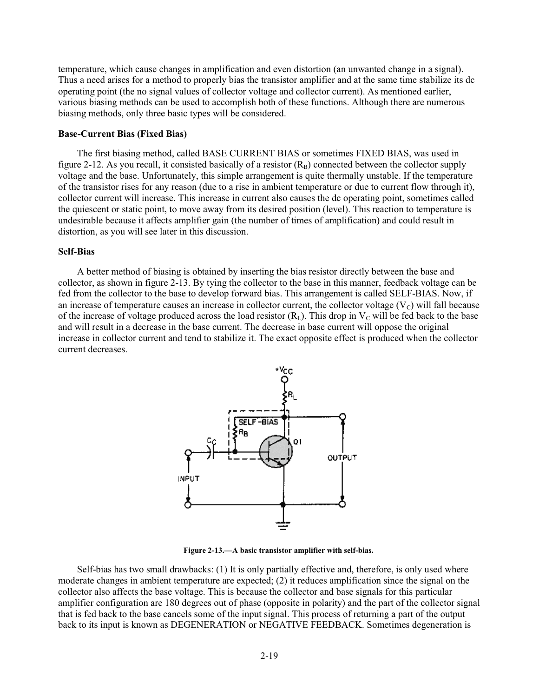temperature, which cause changes in amplification and even distortion (an unwanted change in a signal). Thus a need arises for a method to properly bias the transistor amplifier and at the same time stabilize its dc operating point (the no signal values of collector voltage and collector current). As mentioned earlier, various biasing methods can be used to accomplish both of these functions. Although there are numerous biasing methods, only three basic types will be considered.

# **Base-Current Bias (Fixed Bias)**

The first biasing method, called BASE CURRENT BIAS or sometimes FIXED BIAS, was used in figure 2-12. As you recall, it consisted basically of a resistor  $(R_B)$  connected between the collector supply voltage and the base. Unfortunately, this simple arrangement is quite thermally unstable. If the temperature of the transistor rises for any reason (due to a rise in ambient temperature or due to current flow through it), collector current will increase. This increase in current also causes the dc operating point, sometimes called the quiescent or static point, to move away from its desired position (level). This reaction to temperature is undesirable because it affects amplifier gain (the number of times of amplification) and could result in distortion, as you will see later in this discussion.

#### **Self-Bias**

A better method of biasing is obtained by inserting the bias resistor directly between the base and collector, as shown in figure 2-13. By tying the collector to the base in this manner, feedback voltage can be fed from the collector to the base to develop forward bias. This arrangement is called SELF-BIAS. Now, if an increase of temperature causes an increase in collector current, the collector voltage  $(V_C)$  will fall because of the increase of voltage produced across the load resistor  $(R<sub>L</sub>)$ . This drop in  $V<sub>C</sub>$  will be fed back to the base and will result in a decrease in the base current. The decrease in base current will oppose the original increase in collector current and tend to stabilize it. The exact opposite effect is produced when the collector current decreases.



**Figure 2-13.—A basic transistor amplifier with self-bias.** 

Self-bias has two small drawbacks: (1) It is only partially effective and, therefore, is only used where moderate changes in ambient temperature are expected; (2) it reduces amplification since the signal on the collector also affects the base voltage. This is because the collector and base signals for this particular amplifier configuration are 180 degrees out of phase (opposite in polarity) and the part of the collector signal that is fed back to the base cancels some of the input signal. This process of returning a part of the output back to its input is known as DEGENERATION or NEGATIVE FEEDBACK. Sometimes degeneration is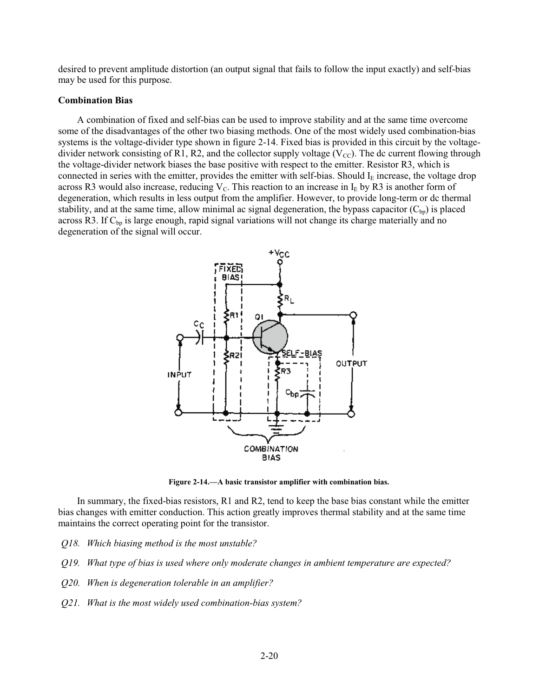desired to prevent amplitude distortion (an output signal that fails to follow the input exactly) and self-bias may be used for this purpose.

# **Combination Bias**

A combination of fixed and self-bias can be used to improve stability and at the same time overcome some of the disadvantages of the other two biasing methods. One of the most widely used combination-bias systems is the voltage-divider type shown in figure 2-14. Fixed bias is provided in this circuit by the voltagedivider network consisting of R1, R2, and the collector supply voltage ( $V_{\text{CC}}$ ). The dc current flowing through the voltage-divider network biases the base positive with respect to the emitter. Resistor R3, which is connected in series with the emitter, provides the emitter with self-bias. Should  $I<sub>E</sub>$  increase, the voltage drop across R3 would also increase, reducing  $V_c$ . This reaction to an increase in  $I_E$  by R3 is another form of degeneration, which results in less output from the amplifier. However, to provide long-term or dc thermal stability, and at the same time, allow minimal ac signal degeneration, the bypass capacitor  $(C_{bp})$  is placed across R3. If  $C_{bp}$  is large enough, rapid signal variations will not change its charge materially and no degeneration of the signal will occur.



**Figure 2-14.—A basic transistor amplifier with combination bias.** 

In summary, the fixed-bias resistors, R1 and R2, tend to keep the base bias constant while the emitter bias changes with emitter conduction. This action greatly improves thermal stability and at the same time maintains the correct operating point for the transistor.

- *Q18. Which biasing method is the most unstable?*
- *Q19. What type of bias is used where only moderate changes in ambient temperature are expected?*
- *Q20. When is degeneration tolerable in an amplifier?*
- *Q21. What is the most widely used combination-bias system?*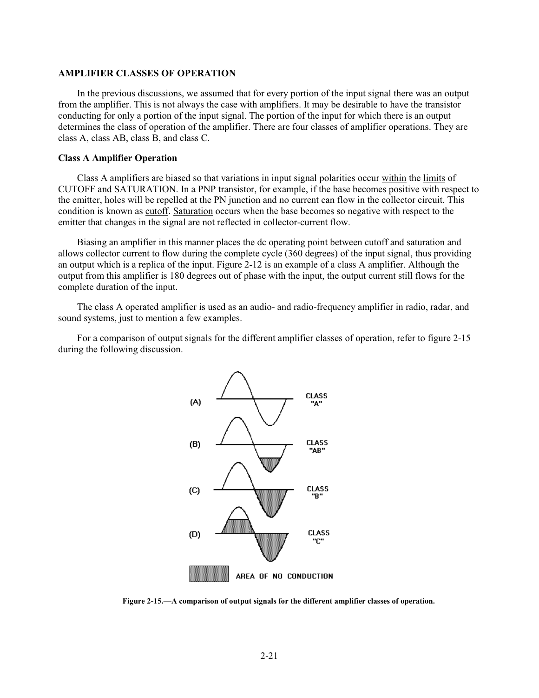# **AMPLIFIER CLASSES OF OPERATION**

In the previous discussions, we assumed that for every portion of the input signal there was an output from the amplifier. This is not always the case with amplifiers. It may be desirable to have the transistor conducting for only a portion of the input signal. The portion of the input for which there is an output determines the class of operation of the amplifier. There are four classes of amplifier operations. They are class A, class AB, class B, and class C.

#### **Class A Amplifier Operation**

Class A amplifiers are biased so that variations in input signal polarities occur within the limits of CUTOFF and SATURATION. In a PNP transistor, for example, if the base becomes positive with respect to the emitter, holes will be repelled at the PN junction and no current can flow in the collector circuit. This condition is known as cutoff. Saturation occurs when the base becomes so negative with respect to the emitter that changes in the signal are not reflected in collector-current flow.

Biasing an amplifier in this manner places the dc operating point between cutoff and saturation and allows collector current to flow during the complete cycle (360 degrees) of the input signal, thus providing an output which is a replica of the input. Figure 2-12 is an example of a class A amplifier. Although the output from this amplifier is 180 degrees out of phase with the input, the output current still flows for the complete duration of the input.

The class A operated amplifier is used as an audio- and radio-frequency amplifier in radio, radar, and sound systems, just to mention a few examples.

For a comparison of output signals for the different amplifier classes of operation, refer to figure 2-15 during the following discussion.



**Figure 2-15.—A comparison of output signals for the different amplifier classes of operation.**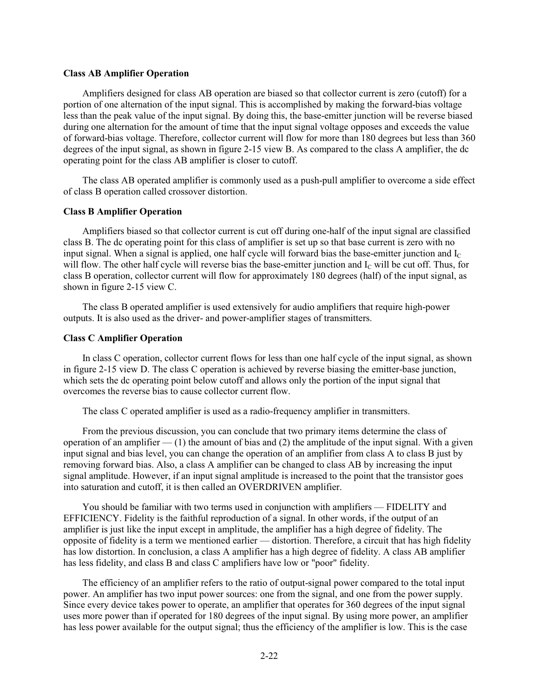#### **Class AB Amplifier Operation**

Amplifiers designed for class AB operation are biased so that collector current is zero (cutoff) for a portion of one alternation of the input signal. This is accomplished by making the forward-bias voltage less than the peak value of the input signal. By doing this, the base-emitter junction will be reverse biased during one alternation for the amount of time that the input signal voltage opposes and exceeds the value of forward-bias voltage. Therefore, collector current will flow for more than 180 degrees but less than 360 degrees of the input signal, as shown in figure 2-15 view B. As compared to the class A amplifier, the dc operating point for the class AB amplifier is closer to cutoff.

The class AB operated amplifier is commonly used as a push-pull amplifier to overcome a side effect of class B operation called crossover distortion.

#### **Class B Amplifier Operation**

Amplifiers biased so that collector current is cut off during one-half of the input signal are classified class B. The dc operating point for this class of amplifier is set up so that base current is zero with no input signal. When a signal is applied, one half cycle will forward bias the base-emitter junction and  $I_c$ will flow. The other half cycle will reverse bias the base-emitter junction and  $I_c$  will be cut off. Thus, for class B operation, collector current will flow for approximately 180 degrees (half) of the input signal, as shown in figure 2-15 view C.

The class B operated amplifier is used extensively for audio amplifiers that require high-power outputs. It is also used as the driver- and power-amplifier stages of transmitters.

#### **Class C Amplifier Operation**

In class C operation, collector current flows for less than one half cycle of the input signal, as shown in figure 2-15 view D. The class C operation is achieved by reverse biasing the emitter-base junction, which sets the dc operating point below cutoff and allows only the portion of the input signal that overcomes the reverse bias to cause collector current flow.

The class C operated amplifier is used as a radio-frequency amplifier in transmitters.

From the previous discussion, you can conclude that two primary items determine the class of operation of an amplifier  $-$  (1) the amount of bias and (2) the amplitude of the input signal. With a given input signal and bias level, you can change the operation of an amplifier from class A to class B just by removing forward bias. Also, a class A amplifier can be changed to class AB by increasing the input signal amplitude. However, if an input signal amplitude is increased to the point that the transistor goes into saturation and cutoff, it is then called an OVERDRIVEN amplifier.

You should be familiar with two terms used in conjunction with amplifiers — FIDELITY and EFFICIENCY. Fidelity is the faithful reproduction of a signal. In other words, if the output of an amplifier is just like the input except in amplitude, the amplifier has a high degree of fidelity. The opposite of fidelity is a term we mentioned earlier — distortion. Therefore, a circuit that has high fidelity has low distortion. In conclusion, a class A amplifier has a high degree of fidelity. A class AB amplifier has less fidelity, and class B and class C amplifiers have low or "poor" fidelity.

The efficiency of an amplifier refers to the ratio of output-signal power compared to the total input power. An amplifier has two input power sources: one from the signal, and one from the power supply. Since every device takes power to operate, an amplifier that operates for 360 degrees of the input signal uses more power than if operated for 180 degrees of the input signal. By using more power, an amplifier has less power available for the output signal; thus the efficiency of the amplifier is low. This is the case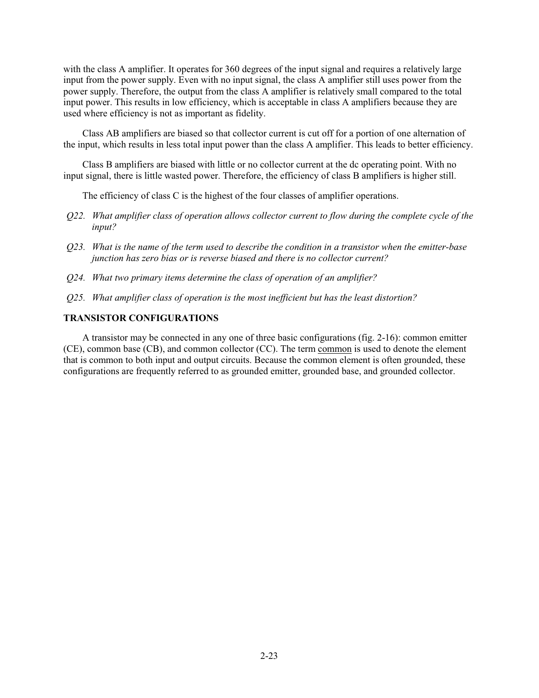with the class A amplifier. It operates for 360 degrees of the input signal and requires a relatively large input from the power supply. Even with no input signal, the class A amplifier still uses power from the power supply. Therefore, the output from the class A amplifier is relatively small compared to the total input power. This results in low efficiency, which is acceptable in class A amplifiers because they are used where efficiency is not as important as fidelity.

Class AB amplifiers are biased so that collector current is cut off for a portion of one alternation of the input, which results in less total input power than the class A amplifier. This leads to better efficiency.

Class B amplifiers are biased with little or no collector current at the dc operating point. With no input signal, there is little wasted power. Therefore, the efficiency of class B amplifiers is higher still.

The efficiency of class C is the highest of the four classes of amplifier operations.

- *Q22. What amplifier class of operation allows collector current to flow during the complete cycle of the input?*
- *Q23. What is the name of the term used to describe the condition in a transistor when the emitter-base junction has zero bias or is reverse biased and there is no collector current?*
- *Q24. What two primary items determine the class of operation of an amplifier?*
- *Q25. What amplifier class of operation is the most inefficient but has the least distortion?*

# **TRANSISTOR CONFIGURATIONS**

A transistor may be connected in any one of three basic configurations (fig. 2-16): common emitter (CE), common base (CB), and common collector (CC). The term common is used to denote the element that is common to both input and output circuits. Because the common element is often grounded, these configurations are frequently referred to as grounded emitter, grounded base, and grounded collector.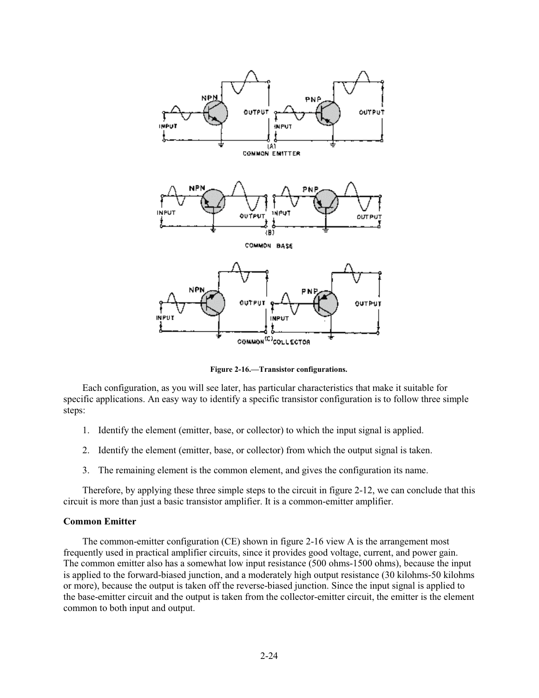

**Figure 2-16.—Transistor configurations.** 

Each configuration, as you will see later, has particular characteristics that make it suitable for specific applications. An easy way to identify a specific transistor configuration is to follow three simple steps:

- 1. Identify the element (emitter, base, or collector) to which the input signal is applied.
- 2. Identify the element (emitter, base, or collector) from which the output signal is taken.
- 3. The remaining element is the common element, and gives the configuration its name.

Therefore, by applying these three simple steps to the circuit in figure 2-12, we can conclude that this circuit is more than just a basic transistor amplifier. It is a common-emitter amplifier.

#### **Common Emitter**

The common-emitter configuration (CE) shown in figure 2-16 view A is the arrangement most frequently used in practical amplifier circuits, since it provides good voltage, current, and power gain. The common emitter also has a somewhat low input resistance (500 ohms-1500 ohms), because the input is applied to the forward-biased junction, and a moderately high output resistance (30 kilohms-50 kilohms or more), because the output is taken off the reverse-biased junction. Since the input signal is applied to the base-emitter circuit and the output is taken from the collector-emitter circuit, the emitter is the element common to both input and output.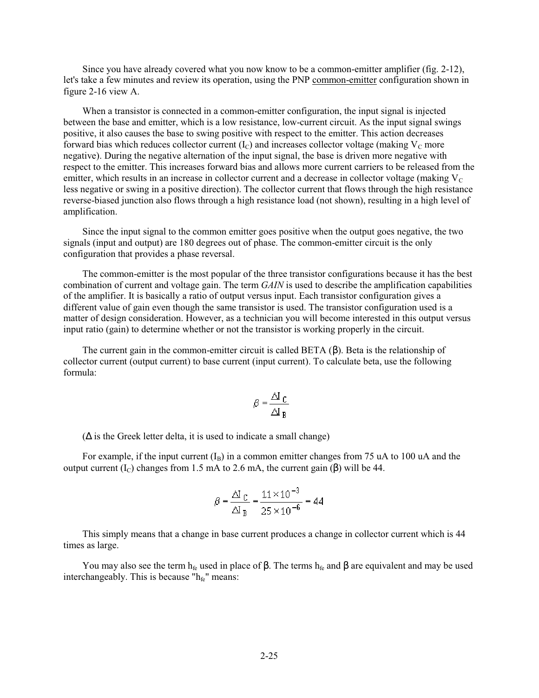Since you have already covered what you now know to be a common-emitter amplifier (fig. 2-12), let's take a few minutes and review its operation, using the PNP common-emitter configuration shown in figure 2-16 view A.

When a transistor is connected in a common-emitter configuration, the input signal is injected between the base and emitter, which is a low resistance, low-current circuit. As the input signal swings positive, it also causes the base to swing positive with respect to the emitter. This action decreases forward bias which reduces collector current  $(I_C)$  and increases collector voltage (making  $V_C$  more negative). During the negative alternation of the input signal, the base is driven more negative with respect to the emitter. This increases forward bias and allows more current carriers to be released from the emitter, which results in an increase in collector current and a decrease in collector voltage (making  $V_c$ less negative or swing in a positive direction). The collector current that flows through the high resistance reverse-biased junction also flows through a high resistance load (not shown), resulting in a high level of amplification.

Since the input signal to the common emitter goes positive when the output goes negative, the two signals (input and output) are 180 degrees out of phase. The common-emitter circuit is the only configuration that provides a phase reversal.

The common-emitter is the most popular of the three transistor configurations because it has the best combination of current and voltage gain. The term *GAIN* is used to describe the amplification capabilities of the amplifier. It is basically a ratio of output versus input. Each transistor configuration gives a different value of gain even though the same transistor is used. The transistor configuration used is a matter of design consideration. However, as a technician you will become interested in this output versus input ratio (gain) to determine whether or not the transistor is working properly in the circuit.

The current gain in the common-emitter circuit is called BETA  $(\beta)$ . Beta is the relationship of collector current (output current) to base current (input current). To calculate beta, use the following formula:

$$
\beta = \frac{\Delta I_C}{\Delta I_B}
$$

 $(\Delta$  is the Greek letter delta, it is used to indicate a small change)

For example, if the input current  $(I_B)$  in a common emitter changes from 75 uA to 100 uA and the output current (I<sub>C</sub>) changes from 1.5 mA to 2.6 mA, the current gain (β) will be 44.

$$
\beta = \frac{\Delta I_C}{\Delta I_R} = \frac{11 \times 10^{-3}}{25 \times 10^{-6}} = 44
$$

This simply means that a change in base current produces a change in collector current which is 44 times as large.

You may also see the term h<sub>fe</sub> used in place of β. The terms h<sub>fe</sub> and β are equivalent and may be used interchangeably. This is because " $h_{fe}$ " means: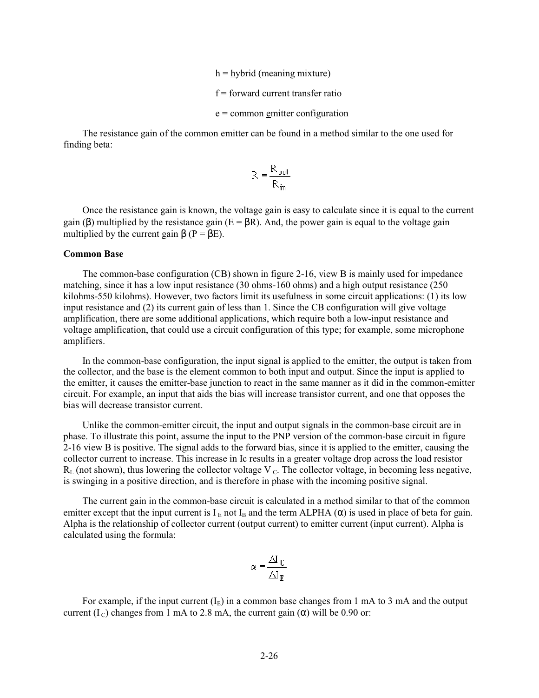$h = hybrid$  (meaning mixture)

 $f =$  forward current transfer ratio

e = common emitter configuration

The resistance gain of the common emitter can be found in a method similar to the one used for finding beta:

$$
R = \frac{R_{\text{out}}}{R_{\text{in}}}
$$

Once the resistance gain is known, the voltage gain is easy to calculate since it is equal to the current gain (β) multiplied by the resistance gain ( $E = \beta R$ ). And, the power gain is equal to the voltage gain multiplied by the current gain  $\beta$  (P =  $\beta$ E).

#### **Common Base**

The common-base configuration (CB) shown in figure 2-16, view B is mainly used for impedance matching, since it has a low input resistance (30 ohms-160 ohms) and a high output resistance (250 kilohms-550 kilohms). However, two factors limit its usefulness in some circuit applications: (1) its low input resistance and (2) its current gain of less than 1. Since the CB configuration will give voltage amplification, there are some additional applications, which require both a low-input resistance and voltage amplification, that could use a circuit configuration of this type; for example, some microphone amplifiers.

In the common-base configuration, the input signal is applied to the emitter, the output is taken from the collector, and the base is the element common to both input and output. Since the input is applied to the emitter, it causes the emitter-base junction to react in the same manner as it did in the common-emitter circuit. For example, an input that aids the bias will increase transistor current, and one that opposes the bias will decrease transistor current.

Unlike the common-emitter circuit, the input and output signals in the common-base circuit are in phase. To illustrate this point, assume the input to the PNP version of the common-base circuit in figure 2-16 view B is positive. The signal adds to the forward bias, since it is applied to the emitter, causing the collector current to increase. This increase in Ic results in a greater voltage drop across the load resistor  $R_L$  (not shown), thus lowering the collector voltage V<sub>c</sub>. The collector voltage, in becoming less negative, is swinging in a positive direction, and is therefore in phase with the incoming positive signal.

The current gain in the common-base circuit is calculated in a method similar to that of the common emitter except that the input current is  $I<sub>E</sub>$  not  $I<sub>B</sub>$  and the term ALPHA ( $\alpha$ ) is used in place of beta for gain. Alpha is the relationship of collector current (output current) to emitter current (input current). Alpha is calculated using the formula:

$$
\alpha = \frac{\Delta I_C}{\Delta I_E}
$$

For example, if the input current  $(I<sub>E</sub>)$  in a common base changes from 1 mA to 3 mA and the output current (I<sub>C</sub>) changes from 1 mA to 2.8 mA, the current gain ( $\alpha$ ) will be 0.90 or: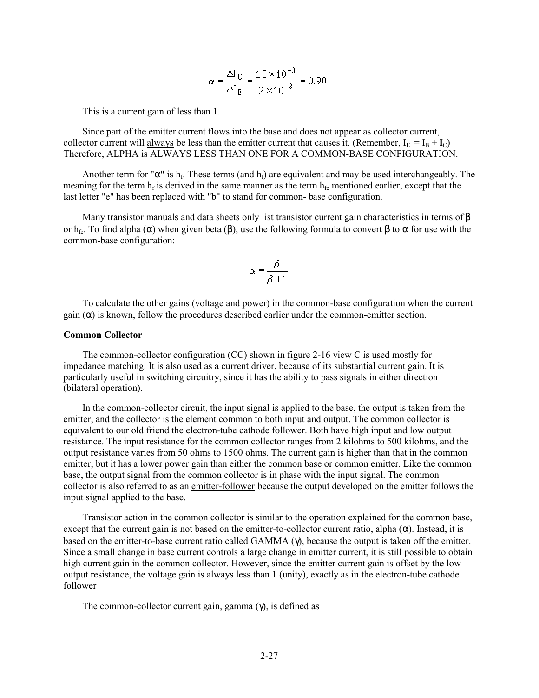$$
\alpha = \frac{\Delta l_C}{\Delta l_E} = \frac{18 \times 10^{-3}}{2 \times 10^{-3}} = 0.90
$$

This is a current gain of less than 1.

Since part of the emitter current flows into the base and does not appear as collector current, collector current will always be less than the emitter current that causes it. (Remember,  $I_E = I_B + I_C$ ) Therefore, ALPHA is ALWAYS LESS THAN ONE FOR A COMMON-BASE CONFIGURATION.

Another term for " $\alpha$ " is h<sub>f</sub>. These terms (and h<sub>f</sub>) are equivalent and may be used interchangeably. The meaning for the term  $h_f$  is derived in the same manner as the term  $h_f$  mentioned earlier, except that the last letter "e" has been replaced with "b" to stand for common- base configuration.

Many transistor manuals and data sheets only list transistor current gain characteristics in terms of  $\beta$ or h<sub>fe</sub>. To find alpha (α) when given beta (β), use the following formula to convert β to α for use with the common-base configuration:

$$
\alpha = \frac{\beta}{\beta + 1}
$$

To calculate the other gains (voltage and power) in the common-base configuration when the current gain  $(\alpha)$  is known, follow the procedures described earlier under the common-emitter section.

#### **Common Collector**

The common-collector configuration (CC) shown in figure 2-16 view C is used mostly for impedance matching. It is also used as a current driver, because of its substantial current gain. It is particularly useful in switching circuitry, since it has the ability to pass signals in either direction (bilateral operation).

In the common-collector circuit, the input signal is applied to the base, the output is taken from the emitter, and the collector is the element common to both input and output. The common collector is equivalent to our old friend the electron-tube cathode follower. Both have high input and low output resistance. The input resistance for the common collector ranges from 2 kilohms to 500 kilohms, and the output resistance varies from 50 ohms to 1500 ohms. The current gain is higher than that in the common emitter, but it has a lower power gain than either the common base or common emitter. Like the common base, the output signal from the common collector is in phase with the input signal. The common collector is also referred to as an emitter-follower because the output developed on the emitter follows the input signal applied to the base.

Transistor action in the common collector is similar to the operation explained for the common base, except that the current gain is not based on the emitter-to-collector current ratio, alpha  $(\alpha)$ . Instead, it is based on the emitter-to-base current ratio called GAMMA  $(\gamma)$ , because the output is taken off the emitter. Since a small change in base current controls a large change in emitter current, it is still possible to obtain high current gain in the common collector. However, since the emitter current gain is offset by the low output resistance, the voltage gain is always less than 1 (unity), exactly as in the electron-tube cathode follower

The common-collector current gain, gamma  $(\gamma)$ , is defined as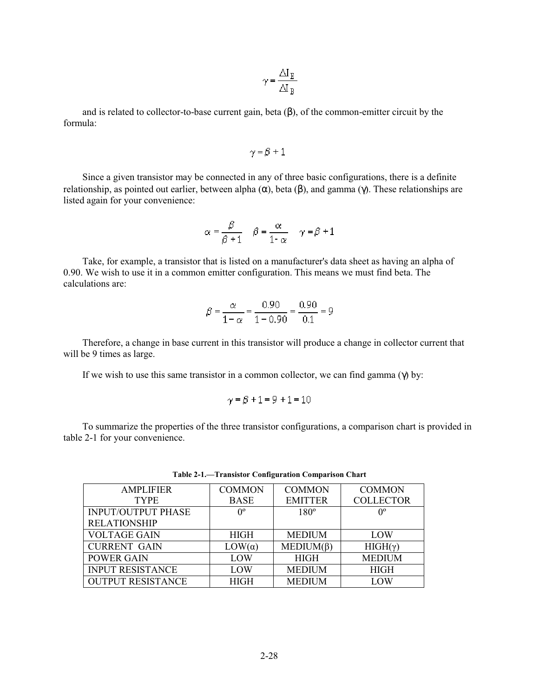$$
\gamma = \frac{\Delta I_E}{\Delta I_B}
$$

and is related to collector-to-base current gain, beta  $(\beta)$ , of the common-emitter circuit by the formula:

$$
\gamma\!=\!\beta+1
$$

Since a given transistor may be connected in any of three basic configurations, there is a definite relationship, as pointed out earlier, between alpha (α), beta (β), and gamma (γ). These relationships are listed again for your convenience:

$$
\alpha = \frac{\beta}{\beta + 1} \quad \beta = \frac{\alpha}{1 - \alpha} \quad \gamma = \beta + 1
$$

Take, for example, a transistor that is listed on a manufacturer's data sheet as having an alpha of 0.90. We wish to use it in a common emitter configuration. This means we must find beta. The calculations are:

$$
\beta = \frac{\alpha}{1 - \alpha} = \frac{0.90}{1 - 0.90} = \frac{0.90}{0.1} = 9
$$

Therefore, a change in base current in this transistor will produce a change in collector current that will be 9 times as large.

If we wish to use this same transistor in a common collector, we can find gamma (γ) by:

$$
\gamma=\beta+1=9+1=10
$$

To summarize the properties of the three transistor configurations, a comparison chart is provided in table 2-1 for your convenience.

| <b>AMPLIFIER</b>          | <b>COMMON</b> | <b>COMMON</b>   | <b>COMMON</b>    |
|---------------------------|---------------|-----------------|------------------|
| <b>TYPE</b>               | <b>BASE</b>   | <b>EMITTER</b>  | <b>COLLECTOR</b> |
| <b>INPUT/OUTPUT PHASE</b> | $0^{\circ}$   | $180^\circ$     | $0^{\rm o}$      |
| <b>RELATIONSHIP</b>       |               |                 |                  |
| <b>VOLTAGE GAIN</b>       | <b>HIGH</b>   | <b>MEDIUM</b>   | LOW              |
| <b>CURRENT GAIN</b>       | $LOW(\alpha)$ | $MEDIUM(\beta)$ | $HIGH(\gamma)$   |
| <b>POWER GAIN</b>         | LOW           | <b>HIGH</b>     | <b>MEDIUM</b>    |
| <b>INPUT RESISTANCE</b>   | LOW           | <b>MEDIUM</b>   | <b>HIGH</b>      |
| <b>OUTPUT RESISTANCE</b>  | HIGH          | <b>MEDIUM</b>   | LOW              |

**Table 2-1.—Transistor Configuration Comparison Chart**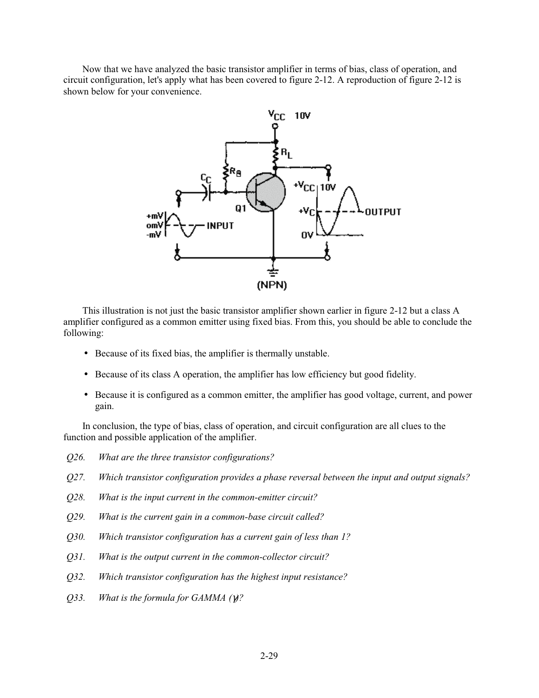Now that we have analyzed the basic transistor amplifier in terms of bias, class of operation, and circuit configuration, let's apply what has been covered to figure 2-12. A reproduction of figure 2-12 is shown below for your convenience.



This illustration is not just the basic transistor amplifier shown earlier in figure 2-12 but a class A amplifier configured as a common emitter using fixed bias. From this, you should be able to conclude the following:

- Because of its fixed bias, the amplifier is thermally unstable.
- Because of its class A operation, the amplifier has low efficiency but good fidelity.
- Because it is configured as a common emitter, the amplifier has good voltage, current, and power gain.

In conclusion, the type of bias, class of operation, and circuit configuration are all clues to the function and possible application of the amplifier.

- *Q26. What are the three transistor configurations?*
- *Q27. Which transistor configuration provides a phase reversal between the input and output signals?*
- *Q28. What is the input current in the common-emitter circuit?*
- *Q29. What is the current gain in a common-base circuit called?*
- *Q30. Which transistor configuration has a current gain of less than 1?*
- *Q31. What is the output current in the common-collector circuit?*
- *Q32. Which transistor configuration has the highest input resistance?*
- *Q33. What is the formula for GAMMA (*γ*)?*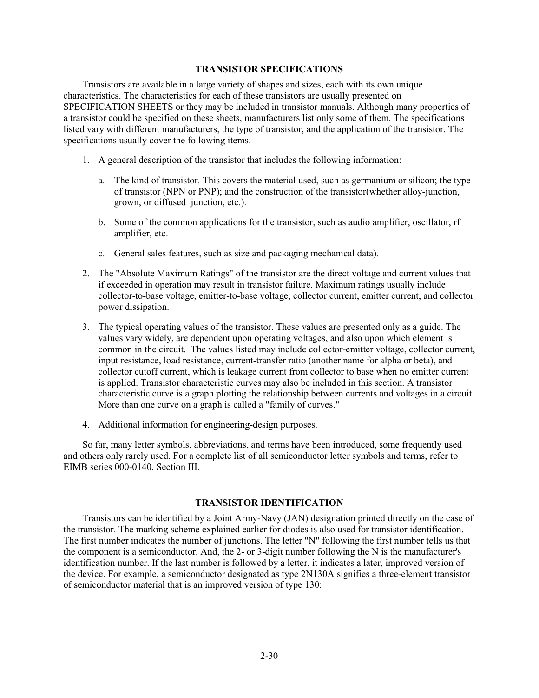# **TRANSISTOR SPECIFICATIONS**

Transistors are available in a large variety of shapes and sizes, each with its own unique characteristics. The characteristics for each of these transistors are usually presented on SPECIFICATION SHEETS or they may be included in transistor manuals. Although many properties of a transistor could be specified on these sheets, manufacturers list only some of them. The specifications listed vary with different manufacturers, the type of transistor, and the application of the transistor. The specifications usually cover the following items.

- 1. A general description of the transistor that includes the following information:
	- a. The kind of transistor. This covers the material used, such as germanium or silicon; the type of transistor (NPN or PNP); and the construction of the transistor(whether alloy-junction, grown, or diffused junction, etc.).
	- b. Some of the common applications for the transistor, such as audio amplifier, oscillator, rf amplifier, etc.
	- c. General sales features, such as size and packaging mechanical data).
- 2. The "Absolute Maximum Ratings" of the transistor are the direct voltage and current values that if exceeded in operation may result in transistor failure. Maximum ratings usually include collector-to-base voltage, emitter-to-base voltage, collector current, emitter current, and collector power dissipation.
- 3. The typical operating values of the transistor. These values are presented only as a guide. The values vary widely, are dependent upon operating voltages, and also upon which element is common in the circuit. The values listed may include collector-emitter voltage, collector current, input resistance, load resistance, current-transfer ratio (another name for alpha or beta), and collector cutoff current, which is leakage current from collector to base when no emitter current is applied. Transistor characteristic curves may also be included in this section. A transistor characteristic curve is a graph plotting the relationship between currents and voltages in a circuit. More than one curve on a graph is called a "family of curves."
- 4. Additional information for engineering-design purposes.

So far, many letter symbols, abbreviations, and terms have been introduced, some frequently used and others only rarely used. For a complete list of all semiconductor letter symbols and terms, refer to EIMB series 000-0140, Section III.

# **TRANSISTOR IDENTIFICATION**

Transistors can be identified by a Joint Army-Navy (JAN) designation printed directly on the case of the transistor. The marking scheme explained earlier for diodes is also used for transistor identification. The first number indicates the number of junctions. The letter "N" following the first number tells us that the component is a semiconductor. And, the 2- or 3-digit number following the N is the manufacturer's identification number. If the last number is followed by a letter, it indicates a later, improved version of the device. For example, a semiconductor designated as type 2N130A signifies a three-element transistor of semiconductor material that is an improved version of type 130: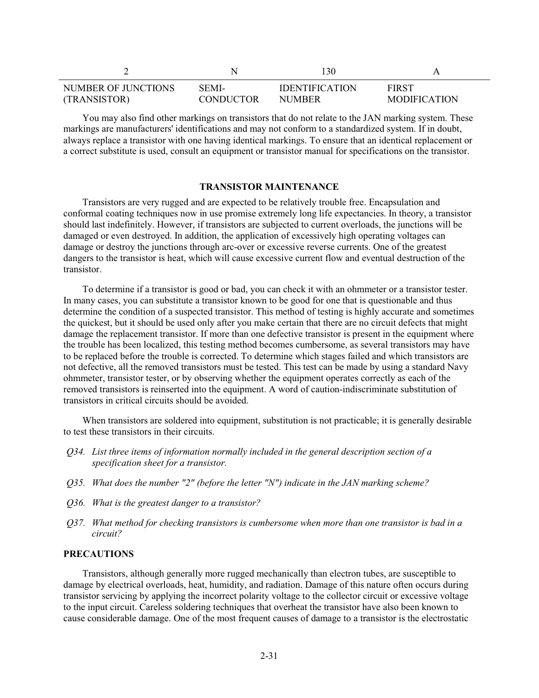| NUMBER OF JUNCTIONS | SEMI-            | <b>IDENTIFICATION</b> | <b>FIRST</b>        |
|---------------------|------------------|-----------------------|---------------------|
| (TRANSISTOR)        | <b>CONDUCTOR</b> | <b>NUMBER</b>         | <b>MODIFICATION</b> |

You may also find other markings on transistors that do not relate to the JAN marking system. These markings are manufacturers' identifications and may not conform to a standardized system. If in doubt, always replace a transistor with one having identical markings. To ensure that an identical replacement or a correct substitute is used, consult an equipment or transistor manual for specifications on the transistor.

# **TRANSISTOR MAINTENANCE**

Transistors are very rugged and are expected to be relatively trouble free. Encapsulation and conformal coating techniques now in use promise extremely long life expectancies. In theory, a transistor should last indefinitely. However, if transistors are subjected to current overloads, the junctions will be damaged or even destroyed. In addition, the application of excessively high operating voltages can damage or destroy the junctions through arc-over or excessive reverse currents. One of the greatest dangers to the transistor is heat, which will cause excessive current flow and eventual destruction of the transistor.

To determine if a transistor is good or bad, you can check it with an ohmmeter or a transistor tester. In many cases, you can substitute a transistor known to be good for one that is questionable and thus determine the condition of a suspected transistor. This method of testing is highly accurate and sometimes the quickest, but it should be used only after you make certain that there are no circuit defects that might damage the replacement transistor. If more than one defective transistor is present in the equipment where the trouble has been localized, this testing method becomes cumbersome, as several transistors may have to be replaced before the trouble is corrected. To determine which stages failed and which transistors are not defective, all the removed transistors must be tested. This test can be made by using a standard Navy ohmmeter, transistor tester, or by observing whether the equipment operates correctly as each of the removed transistors is reinserted into the equipment. A word of caution-indiscriminate substitution of transistors in critical circuits should be avoided.

When transistors are soldered into equipment, substitution is not practicable; it is generally desirable to test these transistors in their circuits.

- *Q34. List three items of information normally included in the general description section of a specification sheet for a transistor.*
- *Q35. What does the number "2" (before the letter "N") indicate in the JAN marking scheme?*
- *Q36. What is the greatest danger to a transistor?*
- *Q37. What method for checking transistors is cumbersome when more than one transistor is bad in a circuit?*

# **PRECAUTIONS**

Transistors, although generally more rugged mechanically than electron tubes, are susceptible to damage by electrical overloads, heat, humidity, and radiation. Damage of this nature often occurs during transistor servicing by applying the incorrect polarity voltage to the collector circuit or excessive voltage to the input circuit. Careless soldering techniques that overheat the transistor have also been known to cause considerable damage. One of the most frequent causes of damage to a transistor is the electrostatic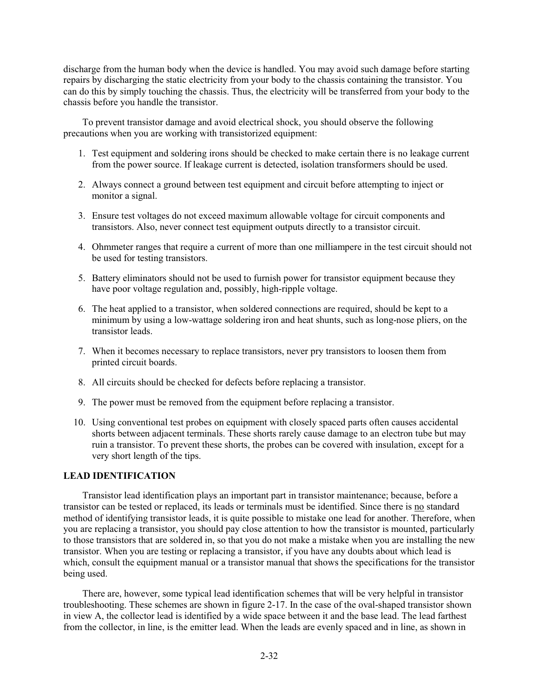discharge from the human body when the device is handled. You may avoid such damage before starting repairs by discharging the static electricity from your body to the chassis containing the transistor. You can do this by simply touching the chassis. Thus, the electricity will be transferred from your body to the chassis before you handle the transistor.

To prevent transistor damage and avoid electrical shock, you should observe the following precautions when you are working with transistorized equipment:

- 1. Test equipment and soldering irons should be checked to make certain there is no leakage current from the power source. If leakage current is detected, isolation transformers should be used.
- 2. Always connect a ground between test equipment and circuit before attempting to inject or monitor a signal.
- 3. Ensure test voltages do not exceed maximum allowable voltage for circuit components and transistors. Also, never connect test equipment outputs directly to a transistor circuit.
- 4. Ohmmeter ranges that require a current of more than one milliampere in the test circuit should not be used for testing transistors.
- 5. Battery eliminators should not be used to furnish power for transistor equipment because they have poor voltage regulation and, possibly, high-ripple voltage.
- 6. The heat applied to a transistor, when soldered connections are required, should be kept to a minimum by using a low-wattage soldering iron and heat shunts, such as long-nose pliers, on the transistor leads.
- 7. When it becomes necessary to replace transistors, never pry transistors to loosen them from printed circuit boards.
- 8. All circuits should be checked for defects before replacing a transistor.
- 9. The power must be removed from the equipment before replacing a transistor.
- 10. Using conventional test probes on equipment with closely spaced parts often causes accidental shorts between adjacent terminals. These shorts rarely cause damage to an electron tube but may ruin a transistor. To prevent these shorts, the probes can be covered with insulation, except for a very short length of the tips.

# **LEAD IDENTIFICATION**

Transistor lead identification plays an important part in transistor maintenance; because, before a transistor can be tested or replaced, its leads or terminals must be identified. Since there is no standard method of identifying transistor leads, it is quite possible to mistake one lead for another. Therefore, when you are replacing a transistor, you should pay close attention to how the transistor is mounted, particularly to those transistors that are soldered in, so that you do not make a mistake when you are installing the new transistor. When you are testing or replacing a transistor, if you have any doubts about which lead is which, consult the equipment manual or a transistor manual that shows the specifications for the transistor being used.

There are, however, some typical lead identification schemes that will be very helpful in transistor troubleshooting. These schemes are shown in figure 2-17. In the case of the oval-shaped transistor shown in view A, the collector lead is identified by a wide space between it and the base lead. The lead farthest from the collector, in line, is the emitter lead. When the leads are evenly spaced and in line, as shown in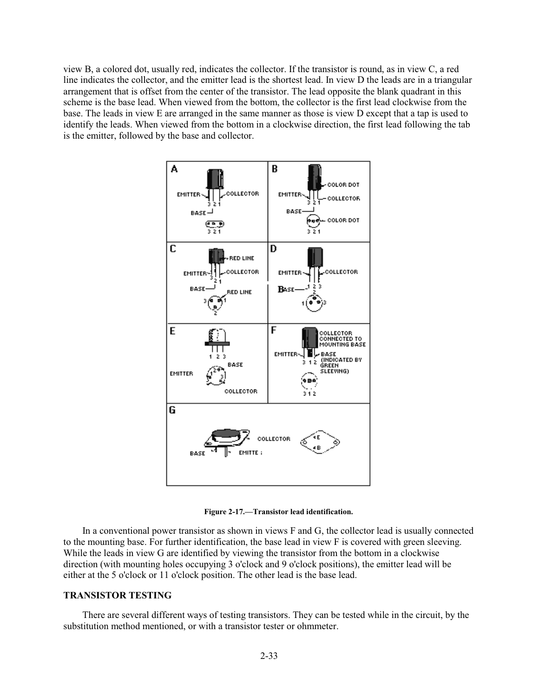view B, a colored dot, usually red, indicates the collector. If the transistor is round, as in view C, a red line indicates the collector, and the emitter lead is the shortest lead. In view D the leads are in a triangular arrangement that is offset from the center of the transistor. The lead opposite the blank quadrant in this scheme is the base lead. When viewed from the bottom, the collector is the first lead clockwise from the base. The leads in view E are arranged in the same manner as those is view D except that a tap is used to identify the leads. When viewed from the bottom in a clockwise direction, the first lead following the tab is the emitter, followed by the base and collector.



**Figure 2-17.—Transistor lead identification.** 

In a conventional power transistor as shown in views F and G, the collector lead is usually connected to the mounting base. For further identification, the base lead in view F is covered with green sleeving. While the leads in view G are identified by viewing the transistor from the bottom in a clockwise direction (with mounting holes occupying 3 o'clock and 9 o'clock positions), the emitter lead will be either at the 5 o'clock or 11 o'clock position. The other lead is the base lead.

#### **TRANSISTOR TESTING**

There are several different ways of testing transistors. They can be tested while in the circuit, by the substitution method mentioned, or with a transistor tester or ohmmeter.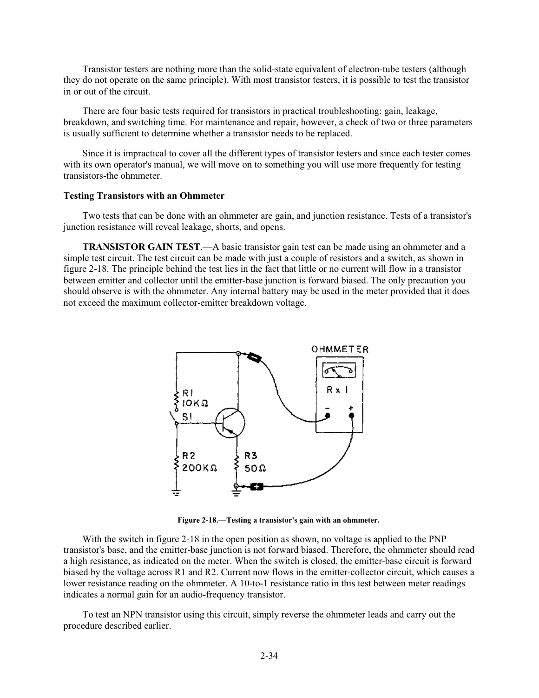Transistor testers are nothing more than the solid-state equivalent of electron-tube testers (although they do not operate on the same principle). With most transistor testers, it is possible to test the transistor in or out of the circuit.

There are four basic tests required for transistors in practical troubleshooting: gain, leakage, breakdown, and switching time. For maintenance and repair, however, a check of two or three parameters is usually sufficient to determine whether a transistor needs to be replaced.

Since it is impractical to cover all the different types of transistor testers and since each tester comes with its own operator's manual, we will move on to something you will use more frequently for testing transistors-the ohmmeter.

#### **Testing Transistors with an Ohmmeter**

Two tests that can be done with an ohmmeter are gain, and junction resistance. Tests of a transistor's junction resistance will reveal leakage, shorts, and opens.

**TRANSISTOR GAIN TEST.**—A basic transistor gain test can be made using an ohmmeter and a simple test circuit. The test circuit can be made with just a couple of resistors and a switch, as shown in figure 2-18. The principle behind the test lies in the fact that little or no current will flow in a transistor between emitter and collector until the emitter-base junction is forward biased. The only precaution you should observe is with the ohmmeter. Any internal battery may be used in the meter provided that it does not exceed the maximum collector-emitter breakdown voltage.



**Figure 2-18.—Testing a transistor's gain with an ohmmeter.** 

With the switch in figure 2-18 in the open position as shown, no voltage is applied to the PNP transistor's base, and the emitter-base junction is not forward biased. Therefore, the ohmmeter should read a high resistance, as indicated on the meter. When the switch is closed, the emitter-base circuit is forward biased by the voltage across R1 and R2. Current now flows in the emitter-collector circuit, which causes a lower resistance reading on the ohmmeter. A 10-to-1 resistance ratio in this test between meter readings indicates a normal gain for an audio-frequency transistor.

To test an NPN transistor using this circuit, simply reverse the ohmmeter leads and carry out the procedure described earlier.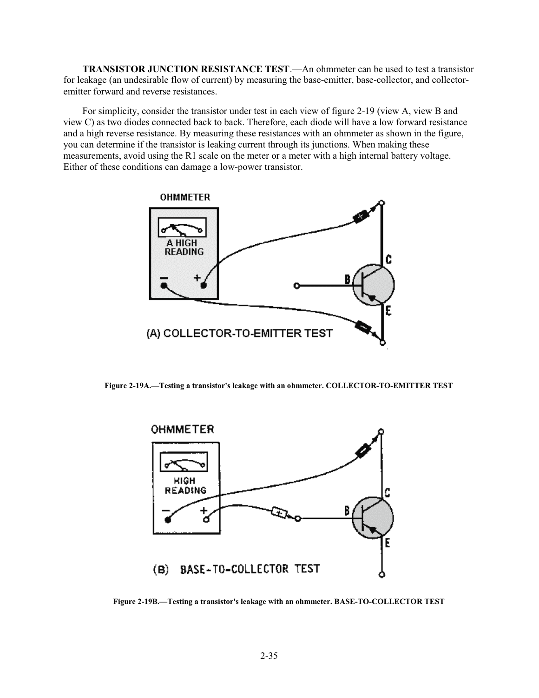**TRANSISTOR JUNCTION RESISTANCE TEST.**—An ohmmeter can be used to test a transistor for leakage (an undesirable flow of current) by measuring the base-emitter, base-collector, and collectoremitter forward and reverse resistances.

For simplicity, consider the transistor under test in each view of figure 2-19 (view A, view B and view C) as two diodes connected back to back. Therefore, each diode will have a low forward resistance and a high reverse resistance. By measuring these resistances with an ohmmeter as shown in the figure, you can determine if the transistor is leaking current through its junctions. When making these measurements, avoid using the R1 scale on the meter or a meter with a high internal battery voltage. Either of these conditions can damage a low-power transistor.



**Figure 2-19A.—Testing a transistor's leakage with an ohmmeter. COLLECTOR-TO-EMITTER TEST** 



**Figure 2-19B.—Testing a transistor's leakage with an ohmmeter. BASE-TO-COLLECTOR TEST**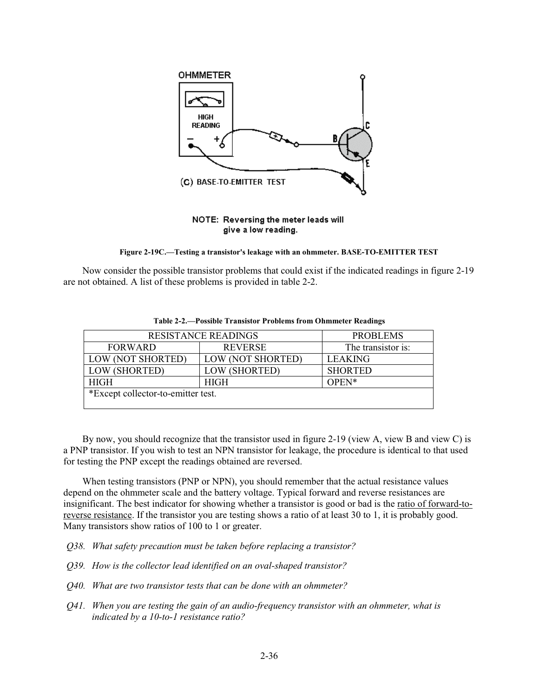

NOTE: Reversing the meter leads will give a low reading.

**Figure 2-19C.—Testing a transistor's leakage with an ohmmeter. BASE-TO-EMITTER TEST** 

Now consider the possible transistor problems that could exist if the indicated readings in figure 2-19 are not obtained. A list of these problems is provided in table 2-2.

| <b>RESISTANCE READINGS</b>         |                    |  |  |
|------------------------------------|--------------------|--|--|
| <b>REVERSE</b>                     | The transistor is: |  |  |
| LOW (NOT SHORTED)                  | <b>LEAKING</b>     |  |  |
| <b>LOW (SHORTED)</b>               | <b>SHORTED</b>     |  |  |
| <b>HIGH</b>                        | $OPEN*$            |  |  |
| *Except collector-to-emitter test. |                    |  |  |
|                                    |                    |  |  |

**Table 2-2.—Possible Transistor Problems from Ohmmeter Readings** 

By now, you should recognize that the transistor used in figure 2-19 (view A, view B and view C) is a PNP transistor. If you wish to test an NPN transistor for leakage, the procedure is identical to that used for testing the PNP except the readings obtained are reversed.

When testing transistors (PNP or NPN), you should remember that the actual resistance values depend on the ohmmeter scale and the battery voltage. Typical forward and reverse resistances are insignificant. The best indicator for showing whether a transistor is good or bad is the ratio of forward-toreverse resistance. If the transistor you are testing shows a ratio of at least 30 to 1, it is probably good. Many transistors show ratios of 100 to 1 or greater.

- *Q38. What safety precaution must be taken before replacing a transistor?*
- *Q39. How is the collector lead identified on an oval-shaped transistor?*
- *Q40. What are two transistor tests that can be done with an ohmmeter?*
- *Q41. When you are testing the gain of an audio-frequency transistor with an ohmmeter, what is indicated by a 10-to-1 resistance ratio?*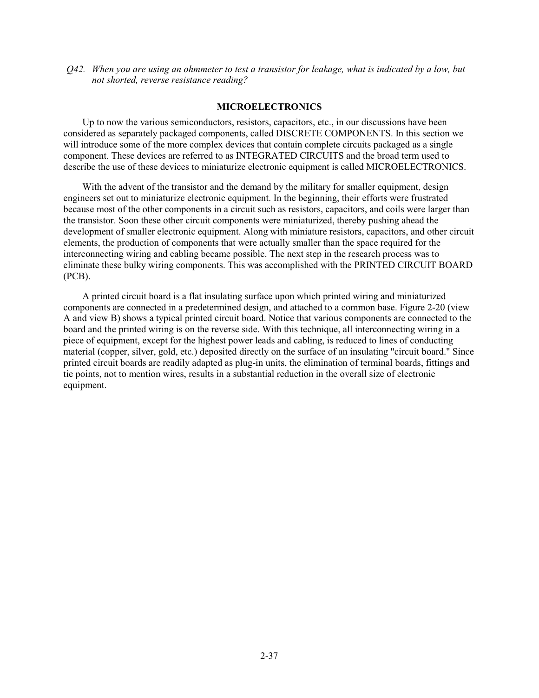*Q42. When you are using an ohmmeter to test a transistor for leakage, what is indicated by a low, but not shorted, reverse resistance reading?* 

#### **MICROELECTRONICS**

Up to now the various semiconductors, resistors, capacitors, etc., in our discussions have been considered as separately packaged components, called DISCRETE COMPONENTS. In this section we will introduce some of the more complex devices that contain complete circuits packaged as a single component. These devices are referred to as INTEGRATED CIRCUITS and the broad term used to describe the use of these devices to miniaturize electronic equipment is called MICROELECTRONICS.

With the advent of the transistor and the demand by the military for smaller equipment, design engineers set out to miniaturize electronic equipment. In the beginning, their efforts were frustrated because most of the other components in a circuit such as resistors, capacitors, and coils were larger than the transistor. Soon these other circuit components were miniaturized, thereby pushing ahead the development of smaller electronic equipment. Along with miniature resistors, capacitors, and other circuit elements, the production of components that were actually smaller than the space required for the interconnecting wiring and cabling became possible. The next step in the research process was to eliminate these bulky wiring components. This was accomplished with the PRINTED CIRCUIT BOARD (PCB).

A printed circuit board is a flat insulating surface upon which printed wiring and miniaturized components are connected in a predetermined design, and attached to a common base. Figure 2-20 (view A and view B) shows a typical printed circuit board. Notice that various components are connected to the board and the printed wiring is on the reverse side. With this technique, all interconnecting wiring in a piece of equipment, except for the highest power leads and cabling, is reduced to lines of conducting material (copper, silver, gold, etc.) deposited directly on the surface of an insulating "circuit board." Since printed circuit boards are readily adapted as plug-in units, the elimination of terminal boards, fittings and tie points, not to mention wires, results in a substantial reduction in the overall size of electronic equipment.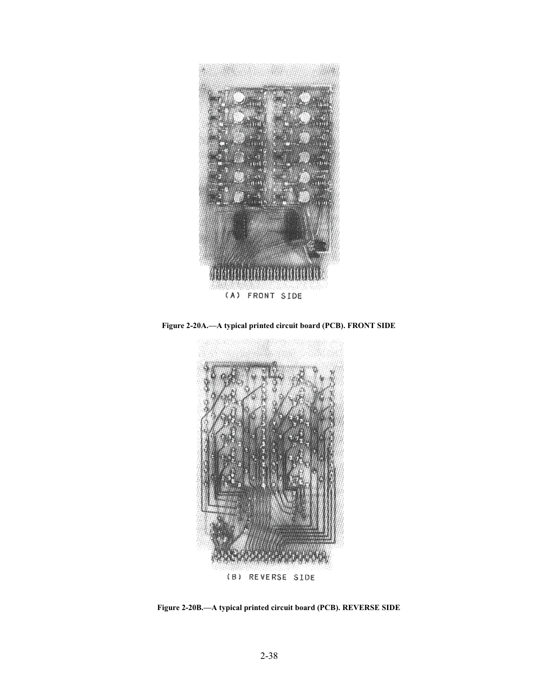

**Figure 2-20A.—A typical printed circuit board (PCB). FRONT SIDE** 



**Figure 2-20B.—A typical printed circuit board (PCB). REVERSE SIDE**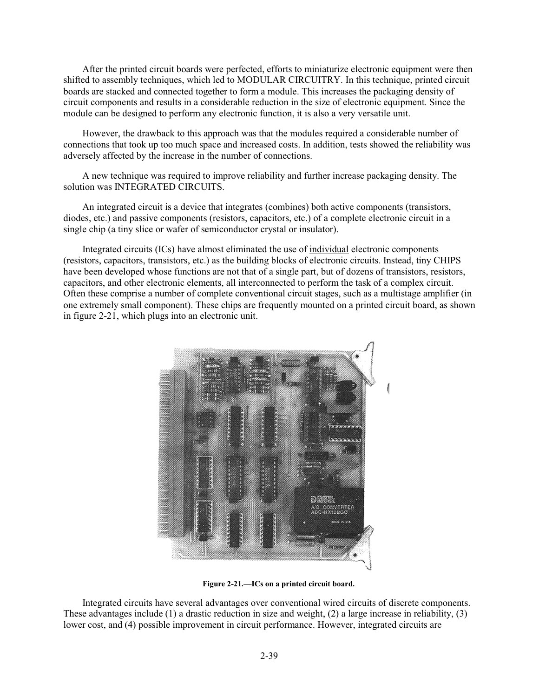After the printed circuit boards were perfected, efforts to miniaturize electronic equipment were then shifted to assembly techniques, which led to MODULAR CIRCUITRY. In this technique, printed circuit boards are stacked and connected together to form a module. This increases the packaging density of circuit components and results in a considerable reduction in the size of electronic equipment. Since the module can be designed to perform any electronic function, it is also a very versatile unit.

However, the drawback to this approach was that the modules required a considerable number of connections that took up too much space and increased costs. In addition, tests showed the reliability was adversely affected by the increase in the number of connections.

A new technique was required to improve reliability and further increase packaging density. The solution was INTEGRATED CIRCUITS.

An integrated circuit is a device that integrates (combines) both active components (transistors, diodes, etc.) and passive components (resistors, capacitors, etc.) of a complete electronic circuit in a single chip (a tiny slice or wafer of semiconductor crystal or insulator).

Integrated circuits (ICs) have almost eliminated the use of individual electronic components (resistors, capacitors, transistors, etc.) as the building blocks of electronic circuits. Instead, tiny CHIPS have been developed whose functions are not that of a single part, but of dozens of transistors, resistors, capacitors, and other electronic elements, all interconnected to perform the task of a complex circuit. Often these comprise a number of complete conventional circuit stages, such as a multistage amplifier (in one extremely small component). These chips are frequently mounted on a printed circuit board, as shown in figure 2-21, which plugs into an electronic unit.



**Figure 2-21.—ICs on a printed circuit board.** 

Integrated circuits have several advantages over conventional wired circuits of discrete components. These advantages include (1) a drastic reduction in size and weight, (2) a large increase in reliability, (3) lower cost, and (4) possible improvement in circuit performance. However, integrated circuits are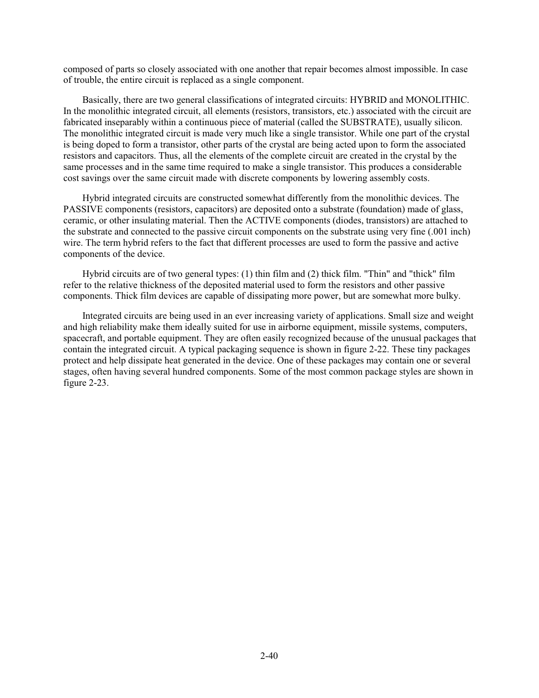composed of parts so closely associated with one another that repair becomes almost impossible. In case of trouble, the entire circuit is replaced as a single component.

Basically, there are two general classifications of integrated circuits: HYBRID and MONOLITHIC. In the monolithic integrated circuit, all elements (resistors, transistors, etc.) associated with the circuit are fabricated inseparably within a continuous piece of material (called the SUBSTRATE), usually silicon. The monolithic integrated circuit is made very much like a single transistor. While one part of the crystal is being doped to form a transistor, other parts of the crystal are being acted upon to form the associated resistors and capacitors. Thus, all the elements of the complete circuit are created in the crystal by the same processes and in the same time required to make a single transistor. This produces a considerable cost savings over the same circuit made with discrete components by lowering assembly costs.

Hybrid integrated circuits are constructed somewhat differently from the monolithic devices. The PASSIVE components (resistors, capacitors) are deposited onto a substrate (foundation) made of glass, ceramic, or other insulating material. Then the ACTIVE components (diodes, transistors) are attached to the substrate and connected to the passive circuit components on the substrate using very fine (.001 inch) wire. The term hybrid refers to the fact that different processes are used to form the passive and active components of the device.

Hybrid circuits are of two general types: (1) thin film and (2) thick film. "Thin" and "thick" film refer to the relative thickness of the deposited material used to form the resistors and other passive components. Thick film devices are capable of dissipating more power, but are somewhat more bulky.

Integrated circuits are being used in an ever increasing variety of applications. Small size and weight and high reliability make them ideally suited for use in airborne equipment, missile systems, computers, spacecraft, and portable equipment. They are often easily recognized because of the unusual packages that contain the integrated circuit. A typical packaging sequence is shown in figure 2-22. These tiny packages protect and help dissipate heat generated in the device. One of these packages may contain one or several stages, often having several hundred components. Some of the most common package styles are shown in figure 2-23.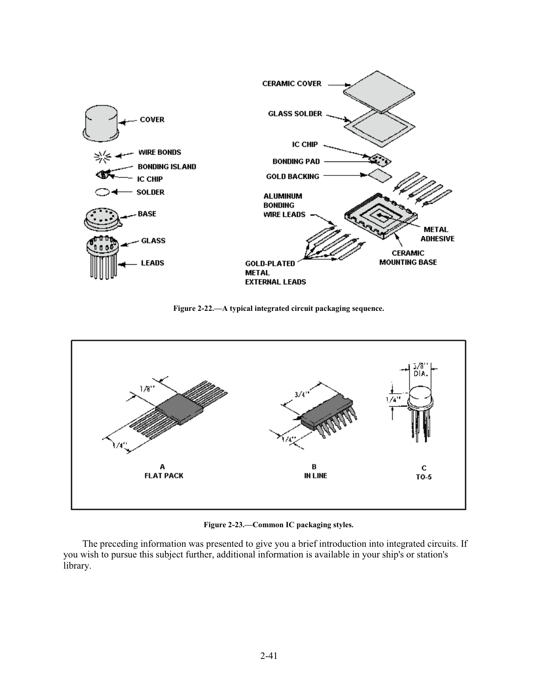

**Figure 2-22.—A typical integrated circuit packaging sequence.** 



**Figure 2-23.—Common IC packaging styles.** 

The preceding information was presented to give you a brief introduction into integrated circuits. If you wish to pursue this subject further, additional information is available in your ship's or station's library.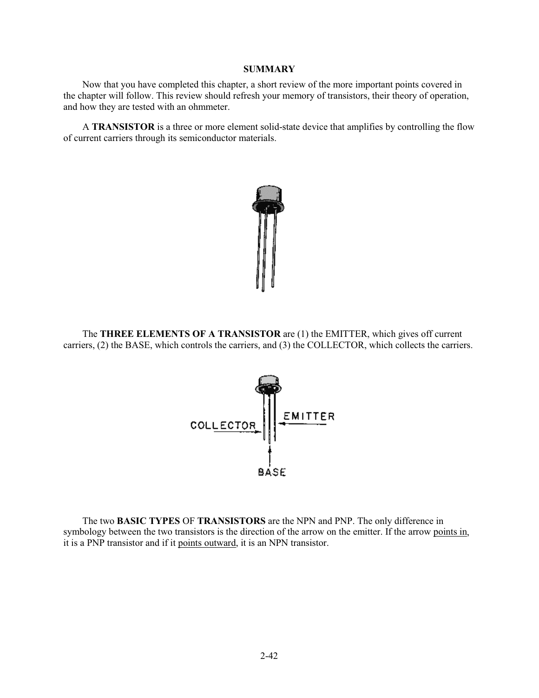#### **SUMMARY**

Now that you have completed this chapter, a short review of the more important points covered in the chapter will follow. This review should refresh your memory of transistors, their theory of operation, and how they are tested with an ohmmeter.

A **TRANSISTOR** is a three or more element solid-state device that amplifies by controlling the flow of current carriers through its semiconductor materials.



The **THREE ELEMENTS OF A TRANSISTOR** are (1) the EMITTER, which gives off current carriers, (2) the BASE, which controls the carriers, and (3) the COLLECTOR, which collects the carriers.



The two **BASIC TYPES** OF **TRANSISTORS** are the NPN and PNP. The only difference in symbology between the two transistors is the direction of the arrow on the emitter. If the arrow points in, it is a PNP transistor and if it points outward, it is an NPN transistor.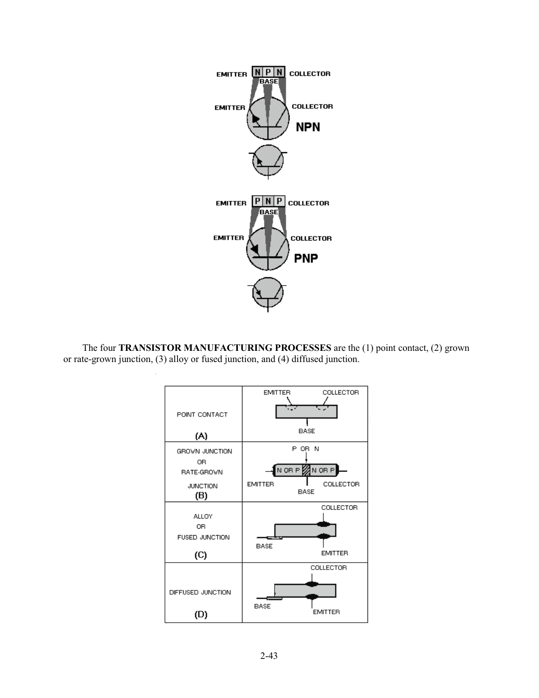

The four **TRANSISTOR MANUFACTURING PROCESSES** are the (1) point contact, (2) grown or rate-grown junction, (3) alloy or fused junction, and (4) diffused junction.

|                       | <b>EMITTER</b>        | <b>COLLECTOR</b> |
|-----------------------|-----------------------|------------------|
| POINT CONTACT<br>(A)  | . . ri<br><b>BASE</b> |                  |
| GROVN JUNCTION        | P OR N                |                  |
| 0R                    |                       |                  |
| <b>BATE-GROVN</b>     | N OR P <mark>(</mark> | ∦ีN OR P         |
| <b>JUNCTION</b>       | <b>EMITTER</b>        | COLLECTOR        |
| (B)                   | <b>BASE</b>           |                  |
|                       |                       | COLLECTOR        |
| <b>ALLOY</b>          |                       |                  |
| OΒ                    |                       |                  |
| <b>FUSED JUNCTION</b> |                       |                  |
|                       | <b>BASE</b>           | <b>EMITTER</b>   |
| (C)                   |                       |                  |
|                       |                       | COLLECTOR        |
|                       |                       |                  |
| DIFFUSED JUNCTION     |                       |                  |
|                       | <b>BASE</b>           |                  |
| (D)                   |                       | <b>EMITTER</b>   |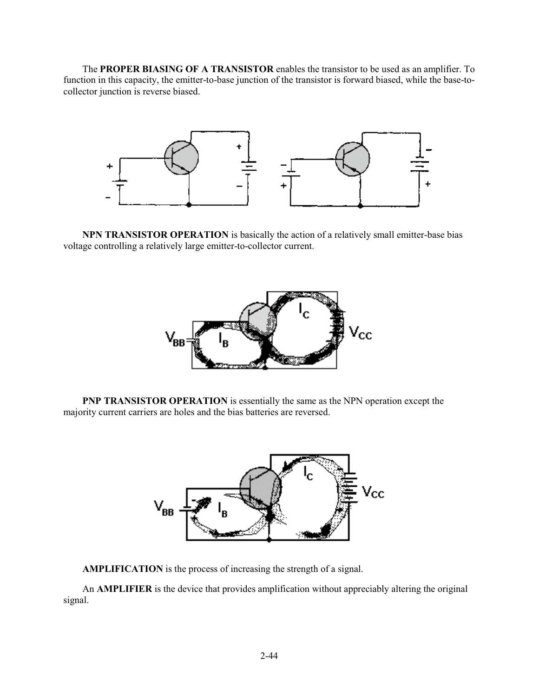The **PROPER BIASING OF A TRANSISTOR** enables the transistor to be used as an amplifier. To function in this capacity, the emitter-to-base junction of the transistor is forward biased, while the base-tocollector junction is reverse biased.



**NPN TRANSISTOR OPERATION** is basically the action of a relatively small emitter-base bias voltage controlling a relatively large emitter-to-collector current.



**PNP TRANSISTOR OPERATION** is essentially the same as the NPN operation except the majority current carriers are holes and the bias batteries are reversed.



**AMPLIFICATION** is the process of increasing the strength of a signal.

An **AMPLIFIER** is the device that provides amplification without appreciably altering the original signal.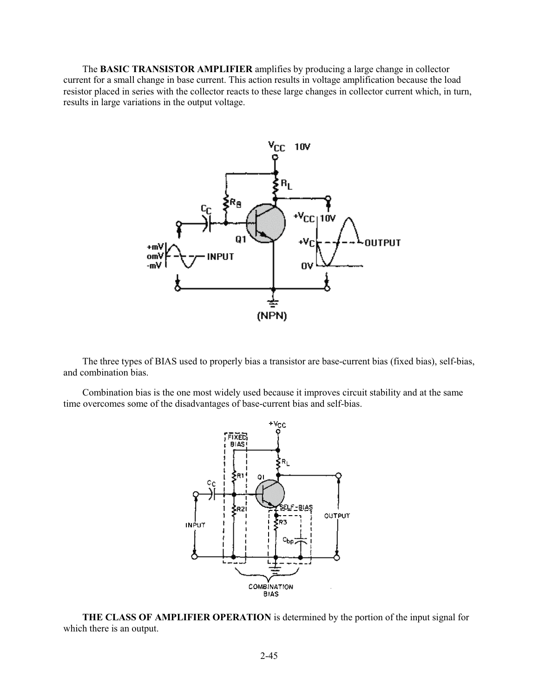The **BASIC TRANSISTOR AMPLIFIER** amplifies by producing a large change in collector current for a small change in base current. This action results in voltage amplification because the load resistor placed in series with the collector reacts to these large changes in collector current which, in turn, results in large variations in the output voltage.



The three types of BIAS used to properly bias a transistor are base-current bias (fixed bias), self-bias, and combination bias.

Combination bias is the one most widely used because it improves circuit stability and at the same time overcomes some of the disadvantages of base-current bias and self-bias.



**THE CLASS OF AMPLIFIER OPERATION** is determined by the portion of the input signal for which there is an output.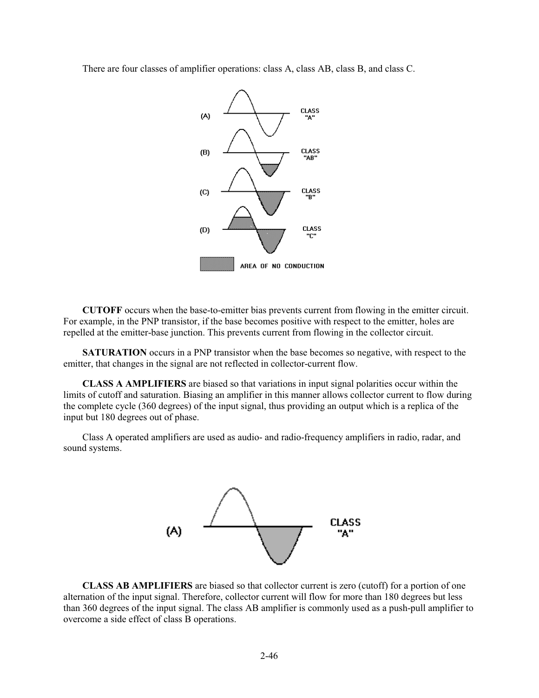There are four classes of amplifier operations: class A, class AB, class B, and class C.



**CUTOFF** occurs when the base-to-emitter bias prevents current from flowing in the emitter circuit. For example, in the PNP transistor, if the base becomes positive with respect to the emitter, holes are repelled at the emitter-base junction. This prevents current from flowing in the collector circuit.

**SATURATION** occurs in a PNP transistor when the base becomes so negative, with respect to the emitter, that changes in the signal are not reflected in collector-current flow.

**CLASS A AMPLIFIERS** are biased so that variations in input signal polarities occur within the limits of cutoff and saturation. Biasing an amplifier in this manner allows collector current to flow during the complete cycle (360 degrees) of the input signal, thus providing an output which is a replica of the input but 180 degrees out of phase.

Class A operated amplifiers are used as audio- and radio-frequency amplifiers in radio, radar, and sound systems.



**CLASS AB AMPLIFIERS** are biased so that collector current is zero (cutoff) for a portion of one alternation of the input signal. Therefore, collector current will flow for more than 180 degrees but less than 360 degrees of the input signal. The class AB amplifier is commonly used as a push-pull amplifier to overcome a side effect of class B operations.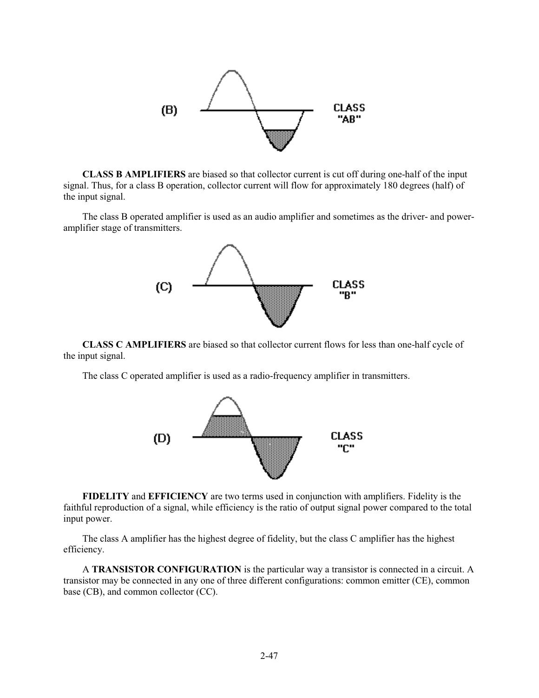

**CLASS B AMPLIFIERS** are biased so that collector current is cut off during one-half of the input signal. Thus, for a class B operation, collector current will flow for approximately 180 degrees (half) of the input signal.

The class B operated amplifier is used as an audio amplifier and sometimes as the driver- and poweramplifier stage of transmitters.



**CLASS C AMPLIFIERS** are biased so that collector current flows for less than one-half cycle of the input signal.

The class C operated amplifier is used as a radio-frequency amplifier in transmitters.



**FIDELITY** and **EFFICIENCY** are two terms used in conjunction with amplifiers. Fidelity is the faithful reproduction of a signal, while efficiency is the ratio of output signal power compared to the total input power.

The class A amplifier has the highest degree of fidelity, but the class C amplifier has the highest efficiency.

A **TRANSISTOR CONFIGURATION** is the particular way a transistor is connected in a circuit. A transistor may be connected in any one of three different configurations: common emitter (CE), common base (CB), and common collector (CC).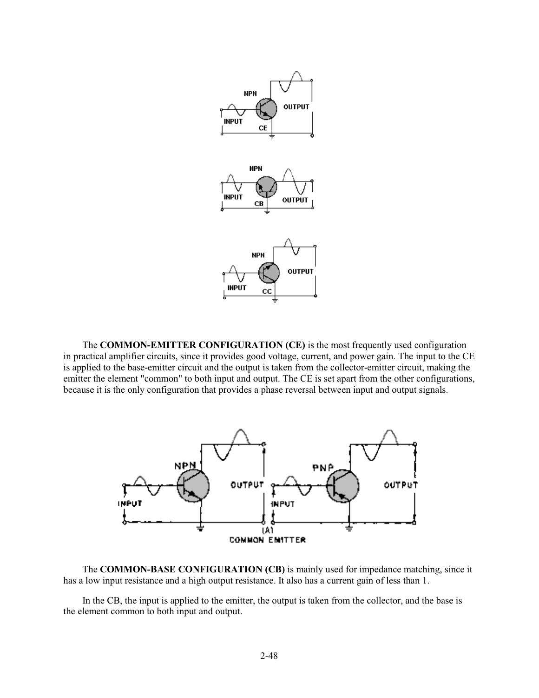

The **COMMON-EMITTER CONFIGURATION (CE)** is the most frequently used configuration in practical amplifier circuits, since it provides good voltage, current, and power gain. The input to the CE is applied to the base-emitter circuit and the output is taken from the collector-emitter circuit, making the emitter the element "common" to both input and output. The CE is set apart from the other configurations, because it is the only configuration that provides a phase reversal between input and output signals.



The **COMMON-BASE CONFIGURATION (CB)** is mainly used for impedance matching, since it has a low input resistance and a high output resistance. It also has a current gain of less than 1.

In the CB, the input is applied to the emitter, the output is taken from the collector, and the base is the element common to both input and output.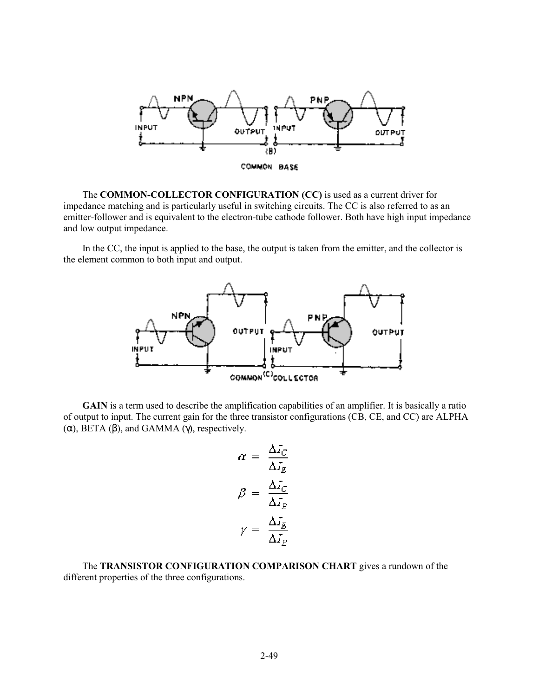

COMMON BASE

The **COMMON-COLLECTOR CONFIGURATION (CC)** is used as a current driver for impedance matching and is particularly useful in switching circuits. The CC is also referred to as an emitter-follower and is equivalent to the electron-tube cathode follower. Both have high input impedance and low output impedance.

In the CC, the input is applied to the base, the output is taken from the emitter, and the collector is the element common to both input and output.



**GAIN** is a term used to describe the amplification capabilities of an amplifier. It is basically a ratio of output to input. The current gain for the three transistor configurations (CB, CE, and CC) are ALPHA (α), BETA (β), and GAMMA (γ), respectively.

$$
\alpha = \frac{\Delta I_C}{\Delta I_E}
$$

$$
\beta = \frac{\Delta I_C}{\Delta I_B}
$$

$$
\gamma = \frac{\Delta I_E}{\Delta I_B}
$$

The **TRANSISTOR CONFIGURATION COMPARISON CHART** gives a rundown of the different properties of the three configurations.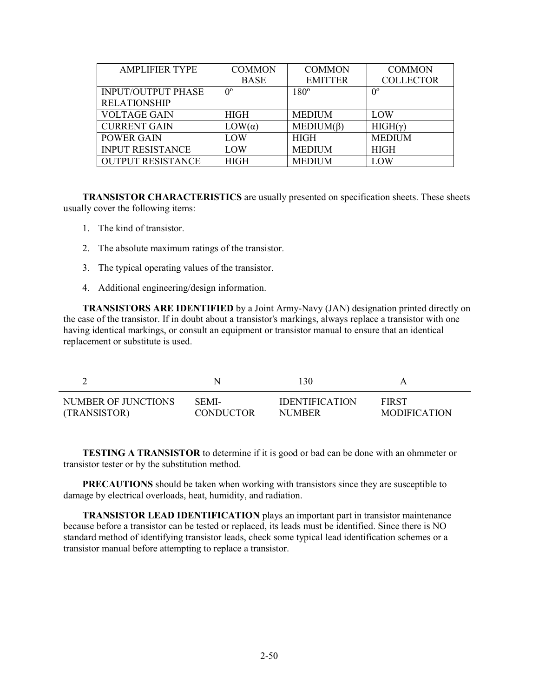| <b>AMPLIFIER TYPE</b>     | <b>COMMON</b> | <b>COMMON</b>   | <b>COMMON</b>    |
|---------------------------|---------------|-----------------|------------------|
|                           | <b>BASE</b>   | <b>EMITTER</b>  | <b>COLLECTOR</b> |
| <b>INPUT/OUTPUT PHASE</b> | $0^{\circ}$   | $180^\circ$     | $0^{\circ}$      |
| <b>RELATIONSHIP</b>       |               |                 |                  |
| <b>VOLTAGE GAIN</b>       | <b>HIGH</b>   | <b>MEDIUM</b>   | LOW              |
| <b>CURRENT GAIN</b>       | $LOW(\alpha)$ | $MEDIUM(\beta)$ | $HIGH(\gamma)$   |
| <b>POWER GAIN</b>         | LOW           | <b>HIGH</b>     | <b>MEDIUM</b>    |
| <b>INPUT RESISTANCE</b>   | LOW           | <b>MEDIUM</b>   | <b>HIGH</b>      |
| <b>OUTPUT RESISTANCE</b>  | <b>HIGH</b>   | <b>MEDIUM</b>   | LOW              |

**TRANSISTOR CHARACTERISTICS** are usually presented on specification sheets. These sheets usually cover the following items:

- 1. The kind of transistor.
- 2. The absolute maximum ratings of the transistor.
- 3. The typical operating values of the transistor.
- 4. Additional engineering/design information.

**TRANSISTORS ARE IDENTIFIED** by a Joint Army-Navy (JAN) designation printed directly on the case of the transistor. If in doubt about a transistor's markings, always replace a transistor with one having identical markings, or consult an equipment or transistor manual to ensure that an identical replacement or substitute is used.

|                     |                  | 30                    |                     |
|---------------------|------------------|-----------------------|---------------------|
| NUMBER OF JUNCTIONS | <b>SEMI-</b>     | <b>IDENTIFICATION</b> | <b>FIRST</b>        |
| (TRANSISTOR)        | <b>CONDUCTOR</b> | <b>NUMBER</b>         | <b>MODIFICATION</b> |

**TESTING A TRANSISTOR** to determine if it is good or bad can be done with an ohmmeter or transistor tester or by the substitution method.

**PRECAUTIONS** should be taken when working with transistors since they are susceptible to damage by electrical overloads, heat, humidity, and radiation.

**TRANSISTOR LEAD IDENTIFICATION** plays an important part in transistor maintenance because before a transistor can be tested or replaced, its leads must be identified. Since there is NO standard method of identifying transistor leads, check some typical lead identification schemes or a transistor manual before attempting to replace a transistor.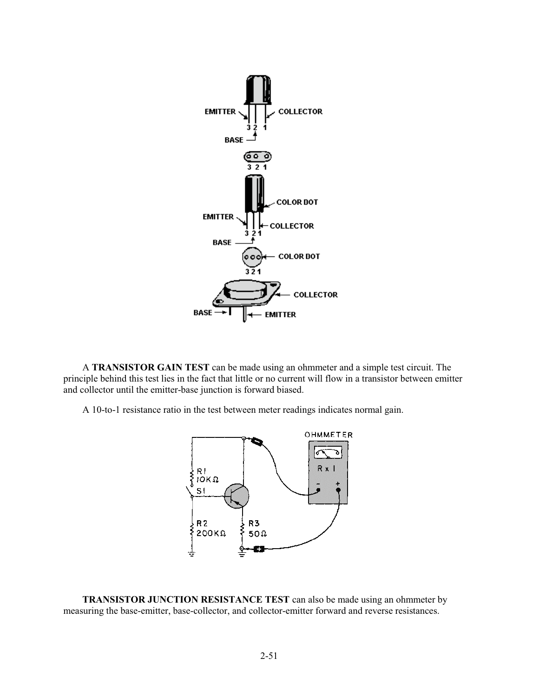

A **TRANSISTOR GAIN TEST** can be made using an ohmmeter and a simple test circuit. The principle behind this test lies in the fact that little or no current will flow in a transistor between emitter and collector until the emitter-base junction is forward biased.

A 10-to-1 resistance ratio in the test between meter readings indicates normal gain.



**TRANSISTOR JUNCTION RESISTANCE TEST** can also be made using an ohmmeter by measuring the base-emitter, base-collector, and collector-emitter forward and reverse resistances.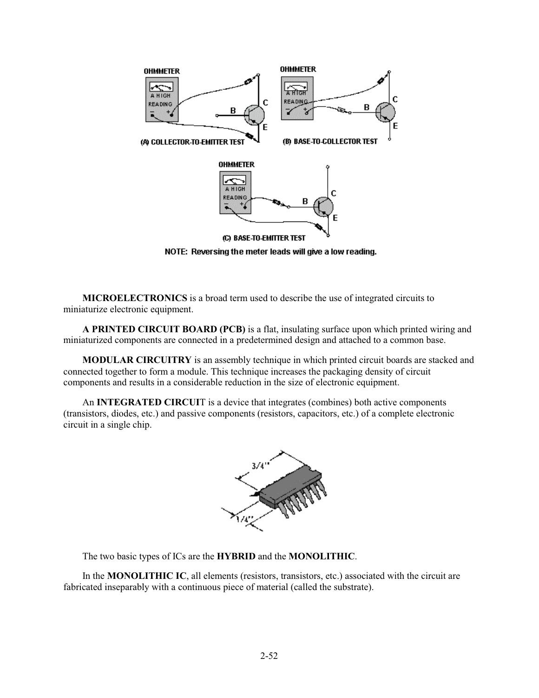

NOTE: Reversing the meter leads will give a low reading.

**MICROELECTRONICS** is a broad term used to describe the use of integrated circuits to miniaturize electronic equipment.

**A PRINTED CIRCUIT BOARD (PCB)** is a flat, insulating surface upon which printed wiring and miniaturized components are connected in a predetermined design and attached to a common base.

**MODULAR CIRCUITRY** is an assembly technique in which printed circuit boards are stacked and connected together to form a module. This technique increases the packaging density of circuit components and results in a considerable reduction in the size of electronic equipment.

An **INTEGRATED CIRCUI**T is a device that integrates (combines) both active components (transistors, diodes, etc.) and passive components (resistors, capacitors, etc.) of a complete electronic circuit in a single chip.



The two basic types of ICs are the **HYBRID** and the **MONOLITHIC**.

In the **MONOLITHIC IC**, all elements (resistors, transistors, etc.) associated with the circuit are fabricated inseparably with a continuous piece of material (called the substrate).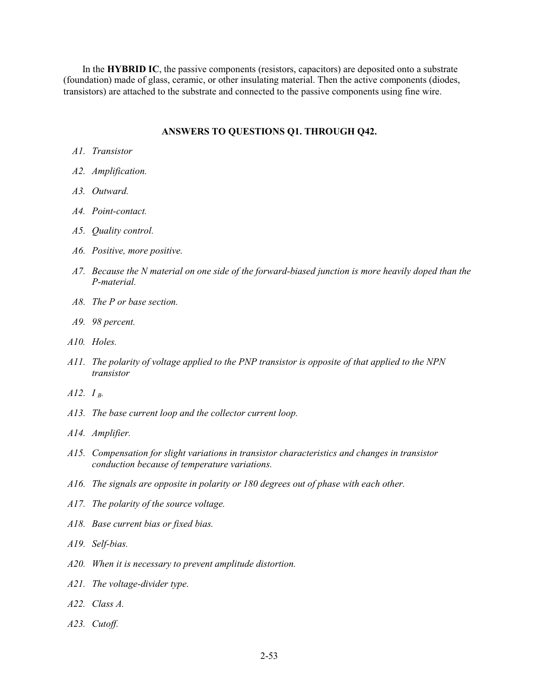In the **HYBRID IC**, the passive components (resistors, capacitors) are deposited onto a substrate (foundation) made of glass, ceramic, or other insulating material. Then the active components (diodes, transistors) are attached to the substrate and connected to the passive components using fine wire.

# **ANSWERS TO QUESTIONS Q1. THROUGH Q42.**

- *A1. Transistor*
- *A2. Amplification.*
- *A3. Outward.*
- *A4. Point-contact.*
- *A5. Quality control.*
- *A6. Positive, more positive.*
- *A7. Because the N material on one side of the forward-biased junction is more heavily doped than the P-material.*
- *A8. The P or base section.*
- *A9. 98 percent.*
- *A10. Holes.*
- *A11. The polarity of voltage applied to the PNP transistor is opposite of that applied to the NPN transistor*
- *A12. I B.*
- *A13. The base current loop and the collector current loop.*
- *A14. Amplifier.*
- *A15. Compensation for slight variations in transistor characteristics and changes in transistor conduction because of temperature variations.*
- *A16. The signals are opposite in polarity or 180 degrees out of phase with each other.*
- *A17. The polarity of the source voltage.*
- *A18. Base current bias or fixed bias.*
- *A19. Self-bias.*
- *A20. When it is necessary to prevent amplitude distortion.*
- *A21. The voltage-divider type.*
- *A22. Class A.*
- *A23. Cutoff.*